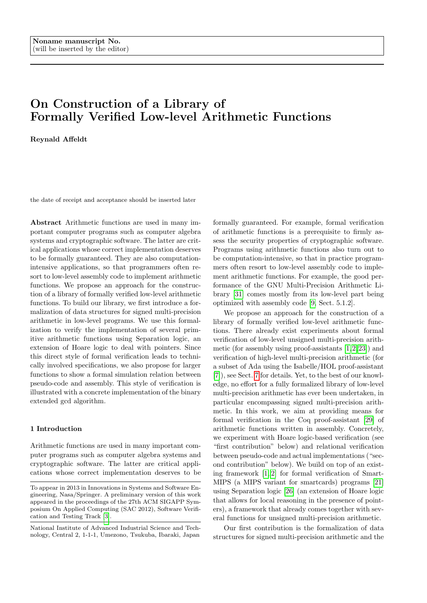# On Construction of a Library of Formally Verified Low-level Arithmetic Functions

Reynald Affeldt

the date of receipt and acceptance should be inserted later

Abstract Arithmetic functions are used in many important computer programs such as computer algebra systems and cryptographic software. The latter are critical applications whose correct implementation deserves to be formally guaranteed. They are also computationintensive applications, so that programmers often resort to low-level assembly code to implement arithmetic functions. We propose an approach for the construction of a library of formally verified low-level arithmetic functions. To build our library, we first introduce a formalization of data structures for signed multi-precision arithmetic in low-level programs. We use this formalization to verify the implementation of several primitive arithmetic functions using Separation logic, an extension of Hoare logic to deal with pointers. Since this direct style of formal verification leads to technically involved specifications, we also propose for larger functions to show a formal simulation relation between pseudo-code and assembly. This style of verification is illustrated with a concrete implementation of the binary extended gcd algorithm.

## <span id="page-0-0"></span>1 Introduction

Arithmetic functions are used in many important computer programs such as computer algebra systems and cryptographic software. The latter are critical applications whose correct implementation deserves to be formally guaranteed. For example, formal verification of arithmetic functions is a prerequisite to firmly assess the security properties of cryptographic software. Programs using arithmetic functions also turn out to be computation-intensive, so that in practice programmers often resort to low-level assembly code to implement arithmetic functions. For example, the good performance of the GNU Multi-Precision Arithmetic Library [\[31\]](#page-17-0) comes mostly from its low-level part being optimized with assembly code [\[9,](#page-16-1) Sect. 5.1.2].

We propose an approach for the construction of a library of formally verified low-level arithmetic functions. There already exist experiments about formal verification of low-level unsigned multi-precision arithmetic (for assembly using proof-assistants [\[1,](#page-16-2)[2,](#page-16-3)[23\]](#page-17-1)) and verification of high-level multi-precision arithmetic (for a subset of Ada using the Isabelle/HOL proof-assistant [\[7\]](#page-16-4)), see Sect. [7](#page-14-0) for details. Yet, to the best of our knowledge, no effort for a fully formalized library of low-level multi-precision arithmetic has ever been undertaken, in particular encompassing signed multi-precision arithmetic. In this work, we aim at providing means for formal verification in the Coq proof-assistant [\[29\]](#page-17-2) of arithmetic functions written in assembly. Concretely, we experiment with Hoare logic-based verification (see "first contribution" below) and relational verification between pseudo-code and actual implementations ("second contribution" below). We build on top of an existing framework [\[1,](#page-16-2) [2\]](#page-16-3) for formal verification of Smart-MIPS (a MIPS variant for smartcards) programs [\[21\]](#page-17-3) using Separation logic [\[26\]](#page-17-4) (an extension of Hoare logic that allows for local reasoning in the presence of pointers), a framework that already comes together with several functions for unsigned multi-precision arithmetic.

Our first contribution is the formalization of data structures for signed multi-precision arithmetic and the

To appear in 2013 in Innovations in Systems and Software Engineering, Nasa/Springer. A preliminary version of this work appeared in the proceedings of the 27th ACM SIGAPP Symposium On Applied Computing (SAC 2012), Software Verification and Testing Track [\[3\]](#page-16-0).

National Institute of Advanced Industrial Science and Technology, Central 2, 1-1-1, Umezono, Tsukuba, Ibaraki, Japan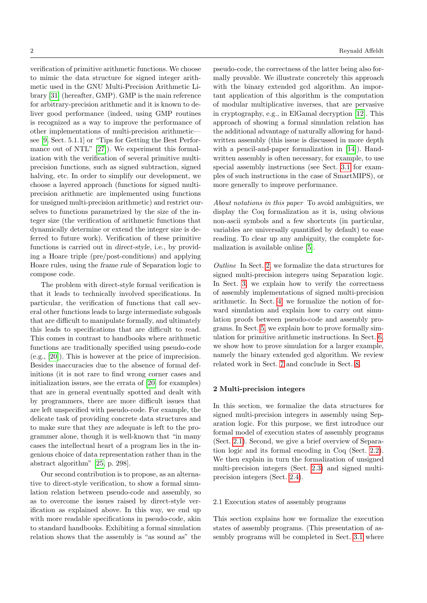verification of primitive arithmetic functions. We choose to mimic the data structure for signed integer arithmetic used in the GNU Multi-Precision Arithmetic Library [\[31\]](#page-17-0) (hereafter, GMP). GMP is the main reference for arbitrary-precision arithmetic and it is known to deliver good performance (indeed, using GMP routines is recognized as a way to improve the performance of other implementations of multi-precision arithmetic see [\[9,](#page-16-1) Sect. 5.1.1] or "Tips for Getting the Best Performance out of NTL" [\[27\]](#page-17-5)). We experiment this formalization with the verification of several primitive multiprecision functions, such as signed subtraction, signed halving, etc. In order to simplify our development, we choose a layered approach (functions for signed multiprecision arithmetic are implemented using functions for unsigned multi-precision arithmetic) and restrict ourselves to functions parametrized by the size of the integer size (the verification of arithmetic functions that dynamically determine or extend the integer size is deferred to future work). Verification of these primitive functions is carried out in direct-style, i.e., by providing a Hoare triple (pre/post-conditions) and applying Hoare rules, using the frame rule of Separation logic to compose code.

The problem with direct-style formal verification is that it leads to technically involved specifications. In particular, the verification of functions that call several other functions leads to large intermediate subgoals that are difficult to manipulate formally, and ultimately this leads to specifications that are difficult to read. This comes in contrast to handbooks where arithmetic functions are traditionally specified using pseudo-code (e.g., [\[20\]](#page-17-6)). This is however at the price of imprecision. Besides inaccuracies due to the absence of formal definitions (it is not rare to find wrong corner cases and initialization issues, see the errata of [\[20\]](#page-17-6) for examples) that are in general eventually spotted and dealt with by programmers, there are more difficult issues that are left unspecified with pseudo-code. For example, the delicate task of providing concrete data structures and to make sure that they are adequate is left to the programmer alone, though it is well-known that "in many cases the intellectual heart of a program lies in the ingenious choice of data representation rather than in the abstract algorithm" [\[25,](#page-17-7) p. 298].

Our second contribution is to propose, as an alternative to direct-style verification, to show a formal simulation relation between pseudo-code and assembly, so as to overcome the issues raised by direct-style verification as explained above. In this way, we end up with more readable specifications in pseudo-code, akin to standard handbooks. Exhibiting a formal simulation relation shows that the assembly is "as sound as" the

pseudo-code, the correctness of the latter being also formally provable. We illustrate concretely this approach with the binary extended gcd algorithm. An important application of this algorithm is the computation of modular multiplicative inverses, that are pervasive in cryptography, e.g., in ElGamal decryption [\[12\]](#page-16-5). This approach of showing a formal simulation relation has the additional advantage of naturally allowing for handwritten assembly (this issue is discussed in more depth with a pencil-and-paper formalization in [\[14\]](#page-16-6)). Handwritten assembly is often necessary, for example, to use special assembly instructions (see Sect. [3.1](#page-4-0) for examples of such instructions in the case of SmartMIPS), or more generally to improve performance.

About notations in this paper To avoid ambiguities, we display the Coq formalization as it is, using obvious non-ascii symbols and a few shortcuts (in particular, variables are universally quantified by default) to ease reading. To clear up any ambiguity, the complete formalization is available online [\[5\]](#page-16-7).

Outline In Sect. [2,](#page-1-0) we formalize the data structures for signed multi-precision integers using Separation logic. In Sect. [3,](#page-4-1) we explain how to verify the correctness of assembly implementations of signed multi-precision arithmetic. In Sect. [4,](#page-6-0) we formalize the notion of forward simulation and explain how to carry out simulation proofs between pseudo-code and assembly programs. In Sect. [5,](#page-9-0) we explain how to prove formally simulation for primitive arithmetic instructions. In Sect. [6,](#page-9-1) we show how to prove simulation for a larger example, namely the binary extended gcd algorithm. We review related work in Sect. [7](#page-14-0) and conclude in Sect. [8.](#page-16-8)

## <span id="page-1-0"></span>2 Multi-precision integers

In this section, we formalize the data structures for signed multi-precision integers in assembly using Separation logic. For this purpose, we first introduce our formal model of execution states of assembly programs (Sect. [2.1\)](#page-1-1). Second, we give a brief overview of Separation logic and its formal encoding in Coq (Sect. [2.2\)](#page-2-0). We then explain in turn the formalization of unsigned multi-precision integers (Sect. [2.3\)](#page-3-0) and signed multiprecision integers (Sect. [2.4\)](#page-3-1).

#### <span id="page-1-1"></span>2.1 Execution states of assembly programs

This section explains how we formalize the execution states of assembly programs. (This presentation of assembly programs will be completed in Sect. [3.1](#page-4-0) where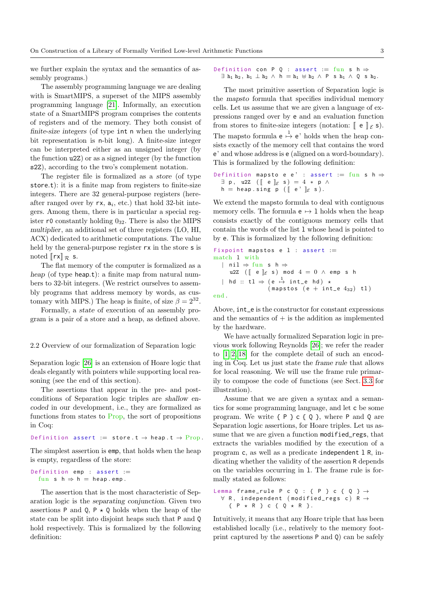we further explain the syntax and the semantics of assembly programs.)

The assembly programming language we are dealing with is SmartMIPS, a superset of the MIPS assembly programming language [\[21\]](#page-17-3). Informally, an execution state of a SmartMIPS program comprises the contents of registers and of the memory. They both consist of finite-size integers (of type int n when the underlying bit representation is n-bit long). A finite-size integer can be interpreted either as an unsigned integer (by the function u2Z) or as a signed integer (by the function s2Z), according to the two's complement notation.

The register file is formalized as a store (of type store.t): it is a finite map from registers to finite-size integers. There are 32 general-purpose registers (hereafter ranged over by  $rx$ ,  $a_i$ , etc.) that hold 32-bit integers. Among them, there is in particular a special register r0 constantly holding  $0_{32}$ . There is also the MIPS multiplier, an additional set of three registers (LO, HI, ACX) dedicated to arithmetic computations. The value held by the general-purpose register rx in the store s is noted  $\lbrack \lbrack \mathsf{rx} \rbrack \rbrack_{\mathcal{R}}$  s.

The flat memory of the computer is formalized as a heap (of type heap.t): a finite map from natural numbers to 32-bit integers. (We restrict ourselves to assembly programs that address memory by words, as customary with MIPS.) The heap is finite, of size  $\beta = 2^{32}$ .

Formally, a state of execution of an assembly program is a pair of a store and a heap, as defined above.

#### <span id="page-2-0"></span>2.2 Overview of our formalization of Separation logic

Separation logic [\[26\]](#page-17-4) is an extension of Hoare logic that deals elegantly with pointers while supporting local reasoning (see the end of this section).

The assertions that appear in the pre- and postconditions of Separation logic triples are shallow encoded in our development, i.e., they are formalized as functions from states to Prop, the sort of propositions in Coq:

Definition assert := store.t  $\rightarrow$  heap.t  $\rightarrow$  Prop.

The simplest assertion is emp, that holds when the heap is empty, regardless of the store:

```
Definition emp : assert :=fun s h \Rightarrow h = \text{heap. emp.}
```
The assertion that is the most characteristic of Separation logic is the separating conjunction. Given two assertions P and Q,  $P \star Q$  holds when the heap of the state can be split into disjoint heaps such that P and Q hold respectively. This is formalized by the following definition:

Definition con P Q : assert := fun s h  $\Rightarrow$  $\exists$  h<sub>1</sub> h<sub>2</sub>, h<sub>1</sub>  $\perp$  h<sub>2</sub>  $\wedge$  h = h<sub>1</sub>  $\oplus$  h<sub>2</sub>  $\wedge$  P s h<sub>1</sub>  $\wedge$  Q s h<sub>2</sub>.

The most primitive assertion of Separation logic is the mapsto formula that specifies individual memory cells. Let us assume that we are given a language of expressions ranged over by e and an evaluation function from stores to finite-size integers (notation:  $\lceil \theta \rceil_{\mathcal{E}} s$ ). The mapsto formula  $e \stackrel{1}{\mapsto} e'$  holds when the heap consists exactly of the memory cell that contains the word e' and whose address is e (aligned on a word-boundary). This is formalized by the following definition:

Definition mapsto e e' : assert := fun s h  $\Rightarrow$  $\exists$  p, u2Z ([ e ]<sub>*E*</sub> s) = 4 \* p  $\land$  $h = \text{heap} \cdot \text{sing } p \text{ (} [e^{\gamma} ]g s).$ 

We extend the mapsto formula to deal with contiguous memory cells. The formula  $e \mapsto 1$  holds when the heap consists exactly of the contiguous memory cells that contain the words of the list l whose head is pointed to by e. This is formalized by the following definition:

Fixpoint mapstos e  $l$  : assert := match l with | nil  $\Rightarrow$  fun s h  $\Rightarrow$ u2Z ( $[$  e  $]$ g s) mod  $4 = 0$   $\wedge$  emp s h | hd  $::$  tl  $\Rightarrow$  (e  $\stackrel{1}{\mapsto}$  int\_e hd)  $\star$  $(m$ a pstos  $(e + int_e 4_{32})$  tl) end .

Above, int\_e is the constructor for constant expressions and the semantics of  $+$  is the addition as implemented by the hardware.

We have actually formalized Separation logic in previous work following Reynolds [\[26\]](#page-17-4); we refer the reader to [\[1,](#page-16-2) [2,](#page-16-3) [18\]](#page-17-8) for the complete detail of such an encoding in Coq. Let us just state the frame rule that allows for local reasoning. We will use the frame rule primarily to compose the code of functions (see Sect. [3.3](#page-6-1) for illustration).

Assume that we are given a syntax and a semantics for some programming language, and let c be some program. We write { P } c { Q }, where P and Q are Separation logic assertions, for Hoare triples. Let us assume that we are given a function modified\_regs, that extracts the variables modified by the execution of a program c, as well as a predicate independent l R, indicating whether the validity of the assertion R depends on the variables occurring in l. The frame rule is formally stated as follows:

```
Lemma frame_rule P c Q : { P } c { Q } \rightarrow\forall R, independent (modified_regs c) R \rightarrow{ P \times R }  C  C  Q \times R  S.
```
Intuitively, it means that any Hoare triple that has been established locally (i.e., relatively to the memory footprint captured by the assertions P and Q) can be safely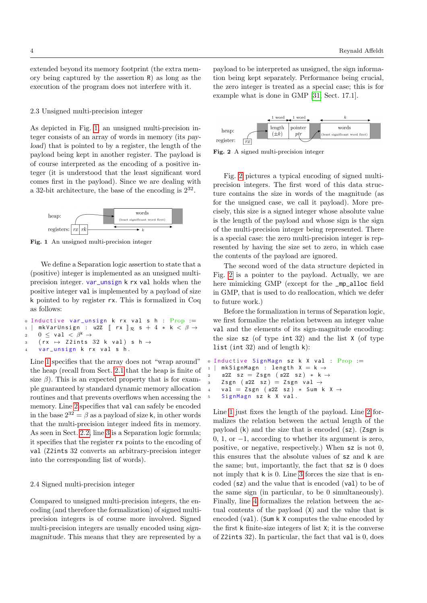extended beyond its memory footprint (the extra memory being captured by the assertion R) as long as the execution of the program does not interfere with it.

## <span id="page-3-0"></span>2.3 Unsigned multi-precision integer

As depicted in Fig. [1,](#page-3-2) an unsigned multi-precision integer consists of an array of words in memory (its payload) that is pointed to by a register, the length of the payload being kept in another register. The payload is of course interpreted as the encoding of a positive integer (it is understood that the least significant word comes first in the payload). Since we are dealing with a 32-bit architecture, the base of the encoding is  $2^{32}$ .



<span id="page-3-2"></span>Fig. 1 An unsigned multi-precision integer

We define a Separation logic assertion to state that a (positive) integer is implemented as an unsigned multiprecision integer. var\_unsign k rx val holds when the positive integer val is implemented by a payload of size k pointed to by register rx. This is formalized in Coq as follows:

```
o Inductive var_unsign k rx val s h : Prop :=1 | mkVarUnsign : u2Z \left[\begin{array}{ccc} r \times r \\ r \times r \end{array}\right] \left[\begin{array}{ccc} 0 < r \\ r \times r \end{array}\right] \left[\begin{array}{ccc} 0 < r \\ r \times r \end{array}\right] \left[\begin{array}{ccc} 0 < r \\ r \times r \end{array}\right] \left[\begin{array}{ccc} 0 < r \\ r \times r \end{array}\right] \left[\begin{array}{ccc} 0 < r \\ r \times r \end{array}\right] \left[\begin{array}{ccc} 0 < r \\ r \times r0 \leq \texttt{val} < \beta^k \rightarrow3 ( rx \mapsto Z 2 ints 32 k v al ) s h \rightarrowvar_unsign k rx val s h.
```
Line [1](#page-3-3) specifies that the array does not "wrap around" the heap (recall from Sect. [2.1](#page-1-1) that the heap is finite of size  $\beta$ ). This is an expected property that is for example guaranteed by standard dynamic memory allocation routines and that prevents overflows when accessing the memory. Line [2](#page-3-4) specifies that val can safely be encoded in the base  $2^{32} = \beta$  as a payload of size k, in other words that the multi-precision integer indeed fits in memory. As seen in Sect. [2.2,](#page-2-0) line [3](#page-3-5) is a Separation logic formula; it specifies that the register rx points to the encoding of val (Z2ints 32 converts an arbitrary-precision integer into the corresponding list of words).

## <span id="page-3-1"></span>2.4 Signed multi-precision integer

Compared to unsigned multi-precision integers, the encoding (and therefore the formalization) of signed multiprecision integers is of course more involved. Signed multi-precision integers are usually encoded using signmagnitude. This means that they are represented by a

payload to be interpreted as unsigned, the sign information being kept separately. Performance being crucial, the zero integer is treated as a special case; this is for example what is done in GMP [\[31,](#page-17-0) Sect. 17.1].



<span id="page-3-6"></span>Fig. 2 A signed multi-precision integer

Fig. [2](#page-3-6) pictures a typical encoding of signed multiprecision integers. The first word of this data structure contains the size in words of the magnitude (as for the unsigned case, we call it payload). More precisely, this size is a signed integer whose absolute value is the length of the payload and whose sign is the sign of the multi-precision integer being represented. There is a special case: the zero multi-precision integer is represented by having the size set to zero, in which case the contents of the payload are ignored.

The second word of the data structure depicted in Fig. [2](#page-3-6) is a pointer to the payload. Actually, we are here mimicking GMP (except for the \_mp\_alloc field in GMP, that is used to do reallocation, which we defer to future work.)

Before the formalization in terms of Separation logic, we first formalize the relation between an integer value val and the elements of its sign-magnitude encoding: the size  $sz$  (of type int 32) and the list  $X$  (of type list (int 32) and of length k):

```
\circ Inductive SignMagn sz k X val : Prop :=
1 | mkSignMagn : length X = k \rightarrows2Z sz = Zsgn (s2Z sz) * k \rightarrow3 Zsgn (s2Z sz) = Zsgn val \rightarrow4 val = Zsgn (s2Z sz) * Sum k X \rightarrowSignMagn sz k X val.
```
<span id="page-3-10"></span>Line [1](#page-3-7) just fixes the length of the payload. Line [2](#page-3-8) formalizes the relation between the actual length of the payload (k) and the size that is encoded (sz). (Zsgn is 0, 1, or −1, according to whether its argument is zero, positive, or negative, respectively.) When sz is not 0, this ensures that the absolute values of sz and k are the same; but, importantly, the fact that sz is 0 does not imply that k is 0. Line [3](#page-3-9) forces the size that is encoded (sz) and the value that is encoded (val) to be of the same sign (in particular, to be 0 simultaneously). Finally, line [4](#page-3-10) formalizes the relation between the actual contents of the payload (X) and the value that is encoded (val). (Sum k X computes the value encoded by the first k finite-size integers of list X; it is the converse of Z2ints 32). In particular, the fact that val is 0, does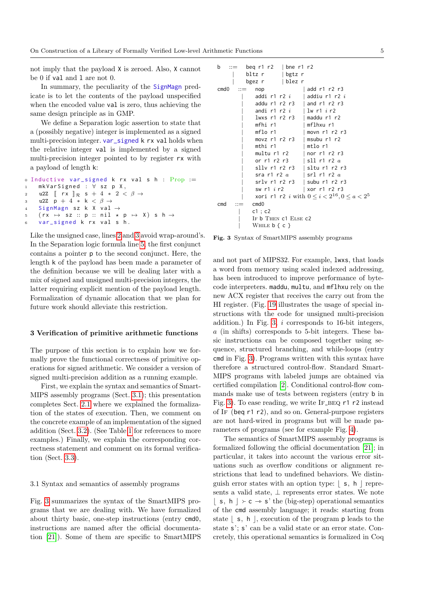not imply that the payload X is zeroed. Also, X cannot be 0 if val and l are not 0.

In summary, the peculiarity of the SignMagn predicate is to let the contents of the payload unspecified when the encoded value val is zero, thus achieving the same design principle as in GMP.

We define a Separation logic assertion to state that a (possibly negative) integer is implemented as a signed multi-precision integer. var\_signed k rx val holds when the relative integer val is implemented by a signed multi-precision integer pointed to by register rx with a payload of length k:

```
\circ Inductive var_signed k rx val s h : Prop :=
           mkVarSigned: ∀ sz p X,2 u2Z \begin{bmatrix} \mathsf{rx} \\ \mathsf{rx} \end{bmatrix} \begin{bmatrix} \mathsf{rx} \\ \mathsf{rx} \end{bmatrix} \begin{bmatrix} \mathsf{rx} \\ \mathsf{rx} \end{bmatrix} \begin{bmatrix} \mathsf{rx} \\ \mathsf{rx} \end{bmatrix} \begin{bmatrix} \mathsf{rx} \\ \mathsf{rx} \end{bmatrix} \begin{bmatrix} \mathsf{rx} \\ \mathsf{rx} \end{bmatrix} \begin{bmatrix} \mathsf{rx} \\ \mathsf{rx} \end{bmatrix} \begin{bmatrix} \mathsf{rx} \\ \mathsf{rxu2Z p + 4 * k < \beta \rightarrow4 SignMagn sz k X val \rightarrow5 ( rx \mapsto sz :: p :: nil * p \mapsto X ) s h \rightarrowvar_signed k rx val s h.
```
<span id="page-4-4"></span>Like the unsigned case, lines [2](#page-4-2) and [3](#page-4-3) avoid wrap-around's. In the Separation logic formula line [5,](#page-4-4) the first conjunct contains a pointer p to the second conjunct. Here, the length k of the payload has been made a parameter of the definition because we will be dealing later with a mix of signed and unsigned multi-precision integers, the latter requiring explicit mention of the payload length. Formalization of dynamic allocation that we plan for future work should alleviate this restriction.

#### <span id="page-4-1"></span>3 Verification of primitive arithmetic functions

The purpose of this section is to explain how we formally prove the functional correctness of primitive operations for signed arithmetic. We consider a version of signed multi-precision addition as a running example.

First, we explain the syntax and semantics of Smart-MIPS assembly programs (Sect. [3.1\)](#page-4-0); this presentation completes Sect. [2.1](#page-1-1) where we explained the formalization of the states of execution. Then, we comment on the concrete example of an implementation of the signed addition (Sect. [3.2\)](#page-5-0). (See Table [1](#page-15-0) for references to more examples.) Finally, we explain the corresponding correctness statement and comment on its formal verification (Sect. [3.3\)](#page-6-1).

## <span id="page-4-0"></span>3.1 Syntax and semantics of assembly programs

Fig. [3](#page-4-5) summarizes the syntax of the SmartMIPS programs that we are dealing with. We have formalized about thirty basic, one-step instructions (entry cmd0, instructions are named after the official documentation [\[21\]](#page-17-3)). Some of them are specific to SmartMIPS

```
b := beq r1 r2 | bne r1 r2
            bltz r | bgtz r
            | bgez r | blez r
cmd0 ::= nop | add r1 r2 r3
                addi r1 r2 i | addiu r1 r2 iaddu r1 r2 r3 | and r1 r2 r3
                andi r1 r2 i | lw r1 i r2
                | lwxs r1 r2 r3 | maddu r1 r2
                | mfhi r1 | mflhxu r1
                | mflo r1 | movn r1 r2 r3
                | movz r1 r2 r3 | msubu r1 r2
                | mthi r1 | mtlo r1
                multu r1 r2 | nor r1 r2 r3
                or r1 r2 r3 | sll r1 r2 a| sllv r1 r2 r3 | sltu r1 r2 r3
                \frac{1}{2} \frac{1}{2} \frac{1}{2} \frac{1}{2} \frac{1}{2} \frac{1}{2} \frac{1}{2} \frac{1}{2} \frac{1}{2} \frac{1}{2} \frac{1}{2} \frac{1}{2} \frac{1}{2} \frac{1}{2} \frac{1}{2} \frac{1}{2} \frac{1}{2} \frac{1}{2} \frac{1}{2} \frac{1}{2} \frac{1}{2} \frac{1}{2} | srlv r1 r2 r3 | subu r1 r2 r3
                sw r1 i r2 | xor r1 r2 r3
          | xori r1 r2 i with 0 \le i < 2^{16}, 0 \le a < 2^5cmd ::= cmd0
               c1 : c2IF b THEN c1 ELSE c2
               WHILE b \{ c \}
```
<span id="page-4-5"></span>Fig. 3 Syntax of SmartMIPS assembly programs

and not part of MIPS32. For example, lwxs, that loads a word from memory using scaled indexed addressing, has been introduced to improve performance of bytecode interpreters. maddu, multu, and mflhxu rely on the new ACX register that receives the carry out from the HI register. (Fig. [19](#page-17-9) illustrates the usage of special instructions with the code for unsigned multi-precision addition.) In Fig. [3,](#page-4-5) i corresponds to 16-bit integers, a (in shifts) corresponds to 5-bit integers. These basic instructions can be composed together using sequence, structured branching, and while-loops (entry cmd in Fig. [3\)](#page-4-5). Programs written with this syntax have therefore a structured control-flow. Standard Smart-MIPS programs with labeled jumps are obtained via certified compilation [\[2\]](#page-16-3). Conditional control-flow commands make use of tests between registers (entry b in Fig. [3\)](#page-4-5). To ease reading, we write IF\_BEQ  $r1 r2$  instead of If (beq r1 r2), and so on. General-purpose registers are not hard-wired in programs but will be made parameters of programs (see for example Fig. [4\)](#page-5-1).

The semantics of SmartMIPS assembly programs is formalized following the official documentation [\[21\]](#page-17-3); in particular, it takes into account the various error situations such as overflow conditions or alignment restrictions that lead to undefined behaviors. We distinguish error states with an option type:  $\mathsf{b}$ , h  $\mathsf{c}$  represents a valid state,  $\perp$  represents error states. We note  $|s, h| \geq c \rightarrow s'$  the (big-step) operational semantics of the cmd assembly language; it reads: starting from state  $\vert$  s, h  $\vert$ , execution of the program p leads to the state s'; s' can be a valid state or an error state. Concretely, this operational semantics is formalized in Coq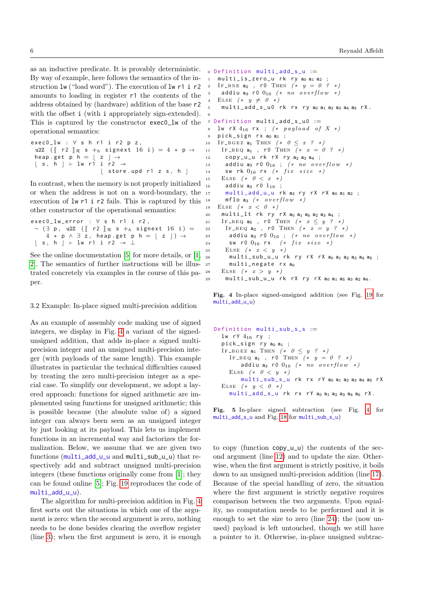as an inductive predicate. It is provably deterministic. By way of example, here follows the semantics of the instruction lw ("load word"). The execution of lw r1 i r2 amounts to loading in register r1 the contents of the address obtained by (hardware) addition of the base r2 with the offset i (with i appropriately sign-extended). This is captured by the constructor exec0 lw of the operational semantics:

$$
\begin{array}{ll}\n\text{exec0\_lw} : \forall \text{ s h r1 i r2 p z,} \\
\text{u2Z} \left( \left[ \begin{array}{c|c} r2 & \text{m s} + h \text{ signext 16 i} \end{array} \right] = 4 * p \rightarrow \right. \\
\text{heap.get p h = } \left[ \begin{array}{c|c} z & \text{m s} \\ \text{m s} & \text{m s} \end{array} \right] & \rightarrow \left[ \begin{array}{c|c} s & \text{m s} \\ \text{m s} & \text{m s} \end{array} \right] & \rightarrow \left[ \begin{array}{c|c} s & \text{m s} \\ \text{m s} & \text{m s} \end{array} \right] & \text{store-upd r1 z s, h} \n\end{array}
$$

In contrast, when the memory is not properly initialized or when the address is not on a word-boundary, the execution of lw r1 i r2 fails. This is captured by this other constructor of the operational semantics:

```
exec0_lw_error : \forall s h r1 i r2,(\exists p, u2Z \ (\parallel r2 \parallel_{\mathcal{R}} s + h s i g n e x t 16 i) =4 * p \wedge \exists z, heap .get p h = [z ]) →
 | s, h | > 1w r1 i r2 \rightarrow \perp
```
See the online documentation [\[5\]](#page-16-7) for more details, or [\[1,](#page-16-2) [2\]](#page-16-3). The semantics of further instructions will be illustrated concretely via examples in the course of this paper.

<span id="page-5-0"></span>3.2 Example: In-place signed multi-precision addition

As an example of assembly code making use of signed integers, we display in Fig. [4](#page-5-1) a variant of the signedunsigned addition, that adds in-place a signed multiprecision integer and an unsigned multi-precision integer (with payloads of the same length). This example illustrates in particular the technical difficulties caused by treating the zero multi-precision integer as a special case. To simplify our development, we adopt a layered approach: functions for signed arithmetic are implemented using functions for unsigned arithmetic; this is possible because (the absolute value of) a signed integer can always been seen as an unsigned integer by just looking at its payload. This lets us implement functions in an incremental way and factorizes the formalization. Below, we assume that we are given two functions (multi\_add\_u\_u and multi\_sub\_u\_u) that respectively add and subtract unsigned multi-precision integers (these functions originally come from [\[1\]](#page-16-2); they can be found online [\[5\]](#page-16-7); Fig. [19](#page-17-9) reproduces the code of multi\_add\_u\_u).

The algorithm for multi-precision addition in Fig. [4](#page-5-1) first sorts out the situations in which one of the argument is zero: when the second argument is zero, nothing needs to be done besides clearing the overflow register (line [3\)](#page-5-2); when the first argument is zero, it is enough

```
o Definition multi_add_s_u :=
 1 multi_is_zero_u rk ry a_0 a_1 a_22 IF_BNE a_2 , r0 THEN (* y = 0 ? * )3 addiu a<sub>3</sub> r0 0_{16} (* no overflow *)
    ELSE (* y \neq 0 *)multi<sub>2</sub> add s _ u 0 rk rx ry a_0 a_1 a_2 a_3 a_4 a_5 rX.
 6
\tau Definition multi_add_s_u0 :=
 8 lw rX 4_{16} rx; (* payload of X *)
 9 pick_sign rx a_0 a_1;
10 IF_BGEZ a_1 THEN (* 0 \leq x ? *)
11 IF_BEQ a_1, r0 THEN (* x = 0 ? *)12 copy_u_u rk rX ry a_2 a_3 a_4;
13 addiu a<sub>3</sub> r0 0_{16} ; (* no overflow *)
14 sw rk 0_{16} rx (* fix size *)15 ELSE (* 0 < x *)16 addiu a<sub>3</sub> r0 1_{16} ;
17 multi_add_u_u rk a<sub>3</sub> ry rX rX a<sub>0</sub> a<sub>1</sub> a<sub>2</sub> ;
18 m f l o a<sub>3</sub> (*\ overflow *)19 ELSE (* x < 0 *)20 multi_lt rk ry rX a<sub>0</sub> a<sub>1</sub> a<sub>5</sub> a<sub>2</sub> a<sub>3</sub> a<sub>4</sub> ;
21 IF_BEQ a_5, r0 THEN (* x \leq y ? *)
22 IF_BEQ a_2, r0 THEN (* x = y ? (*)23 addiu a<sub>3</sub> r0 0_{16} ; (* no overflow *)
24 SW r0 0_{16} rx (* fix size *)25 Else (∗ x < y ∗)
26 multi_sub_u_u rk ry rX rX a_0 a_1 a_2 a_3 a_4 a_5;
27 multi_negate rx a_028 ELSE (* x > y * )multi\_sub\_u\_u rk rX ry rX a<sub>0</sub> a<sub>1</sub> a<sub>5</sub> a<sub>3</sub> a<sub>2</sub> a<sub>4</sub>.
```
<span id="page-5-7"></span><span id="page-5-6"></span><span id="page-5-5"></span><span id="page-5-4"></span><span id="page-5-1"></span>Fig. 4 In-place signed-unsigned addition (see Fig. [19](#page-17-9) for multi\_add\_u\_u)

```
Definition multi\_sub_s_s :=lw rY 416 ry ;
  pick\_sign ry a_0 a_1;
  IF_BGEZ a_1 THEN (* 0 \leq y ? *)
     IF_BEQ a_1, r0 THEN (* y = 0 ? *)addiu a3 r0 0_{16} (* no overflow *)
     ELSE (* 0 < y * )multi\_sub\_s\_u rk rx rY a<sub>0</sub> a<sub>1</sub> a<sub>2</sub> a<sub>3</sub> a<sub>4</sub> a<sub>5</sub> rX
  ELSE (* y < 0 *)multi\_add\_s\_u rk rx rY a_0 a_1 a_2 a_3 a_4 a_5 rX.
```
<span id="page-5-8"></span>Fig. 5 In-place signed subtraction (see Fig. [4](#page-5-1) for multi\_add\_s\_u and Fig. [18](#page-17-10) for multi\_sub\_s\_u)

to copy (function copy\_u\_u) the contents of the second argument (line [12\)](#page-5-3) and to update the size. Otherwise, when the first argument is strictly positive, it boils down to an unsigned multi-precision addition (line [17\)](#page-5-4). Because of the special handling of zero, the situation where the first argument is strictly negative requires comparison between the two arguments. Upon equality, no computation needs to be performed and it is enough to set the size to zero (line [24\)](#page-5-5); the (now unused) payload is left untouched, though we still have a pointer to it. Otherwise, in-place unsigned subtrac-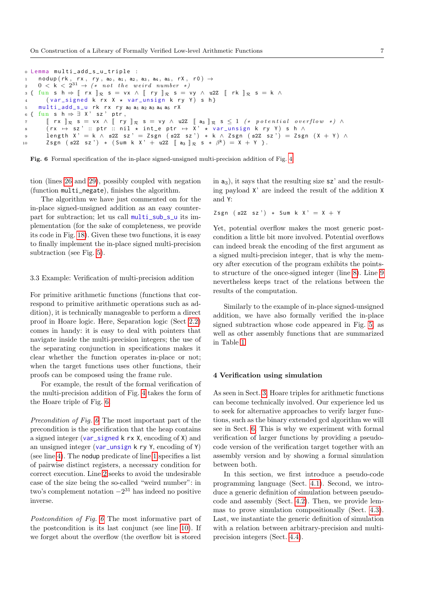```
o Lemma multi_add_s_u_triple :
1 nodup (rk, rx, ry, a<sub>0</sub>, a<sub>1</sub>, a<sub>2</sub>, a<sub>3</sub>, a<sub>4</sub>, a<sub>5</sub>, rX, r0) \rightarrow2 0 < k < 2^{31} \rightarrow (* not the weird number *)
3 { fun s h \Rightarrow \lbrack \! \lbrack rx \rbrack \! \rbrack \mathcal{R} s = vx \wedge \lbrack \! \lbrack ry \; \rbrack \! \rbrack\mathcal{R} s = vy \wedge u2Z \lbrack \! \lbrack rk \; \rbrack \! \rbrack\mathcal{R} s = k \wedge(var_signed k rx X * var_unsign k ry Y) s h5 multi_add_s_u rk rx ry a_0 a_1 a_2 a_3 a_4 a_5 rX
6 { fun s h \Rightarrow \exists X' sz' ptr,
          \llbracket rx \rrbracket_{\mathcal{R}} s = vx \wedge \llbracket ry \rrbracket_{\mathcal{R}} s = vy \wedge u2Z \llbracket a<sub>3</sub> \rrbracket_{\mathcal{R}} s \leq 1 (* potential overflow *) \wedge8 ( rx \mapsto sz ' :: ptr :: nil \star int_e ptr \mapsto X ' \star var_unsign k ry Y) s h ∧
 9     length X' = k ∧ s2Z sz' = Zsgn (s2Z sz') ∗ k ∧ Zsgn (s2Z sz') = Zsgn (X + Y) ∧
10 Zsgn (s2Z sz') * (Sum k X' + u2Z [[a<sub>3</sub>]<sub>\mathcal{R}</sub> s * \beta^k) = X + Y }.
```
<span id="page-6-8"></span><span id="page-6-7"></span><span id="page-6-6"></span><span id="page-6-2"></span>Fig. 6 Formal specification of the in-place signed-unsigned multi-precision addition of Fig. [4](#page-5-1)

tion (lines [26](#page-5-6) and [29\)](#page-5-7), possibly coupled with negation (function multi\_negate), finishes the algorithm.

The algorithm we have just commented on for the in-place signed-unsigned addition as an easy counterpart for subtraction; let us call multi sub s u its implementation (for the sake of completeness, we provide its code in Fig. [18\)](#page-17-10). Given these two functions, it is easy to finally implement the in-place signed multi-precision subtraction (see Fig. [5\)](#page-5-8).

### <span id="page-6-1"></span>3.3 Example: Verification of multi-precision addition

For primitive arithmetic functions (functions that correspond to primitive arithmetic operations such as addition), it is technically manageable to perform a direct proof in Hoare logic. Here, Separation logic (Sect [2.2\)](#page-2-0) comes in handy: it is easy to deal with pointers that navigate inside the multi-precision integers; the use of the separating conjunction in specifications makes it clear whether the function operates in-place or not; when the target functions uses other functions, their proofs can be composed using the frame rule.

For example, the result of the formal verification of the multi-precision addition of Fig. [4](#page-5-1) takes the form of the Hoare triple of Fig. [6.](#page-6-2)

Precondition of Fig. [6](#page-6-2) The most important part of the precondition is the specification that the heap contains a signed integer (var\_signed k rx X, encoding of X) and an unsigned integer (var\_unsign k ry Y, encoding of Y) (see line [4\)](#page-6-3). The nodup predicate of line [1](#page-6-4) specifies a list of pairwise distinct registers, a necessary condition for correct execution. Line [2](#page-6-5) seeks to avoid the undesirable case of the size being the so-called "weird number": in two's complement notation  $-2^{31}$  has indeed no positive inverse.

Postcondition of Fig. [6](#page-6-2) The most informative part of the postcondition is its last conjunct (see line [10\)](#page-6-6). If we forget about the overflow (the overflow bit is stored

in  $a_3$ ), it says that the resulting size  $sz'$  and the resulting payload X' are indeed the result of the addition X and Y:

Zsgn (s2Z sz') \* Sum k  $X' = X + Y$ 

Yet, potential overflow makes the most generic postcondition a little bit more involved. Potential overflows can indeed break the encoding of the first argument as a signed multi-precision integer, that is why the memory after execution of the program exhibits the pointsto structure of the once-signed integer (line [8\)](#page-6-7). Line [9](#page-6-8) nevertheless keeps tract of the relations between the results of the computation.

Similarly to the example of in-place signed-unsigned addition, we have also formally verified the in-place signed subtraction whose code appeared in Fig. [5,](#page-5-8) as well as other assembly functions that are summarized in Table [1.](#page-15-0)

#### <span id="page-6-0"></span>4 Verification using simulation

As seen in Sect. [3,](#page-4-1) Hoare triples for arithmetic functions can become technically involved. Our experience led us to seek for alternative approaches to verify larger functions, such as the binary extended gcd algorithm we will see in Sect. [6.](#page-9-1) This is why we experiment with formal verification of larger functions by providing a pseudocode version of the verification target together with an assembly version and by showing a formal simulation between both.

In this section, we first introduce a pseudo-code programming language (Sect. [4.1\)](#page-7-0). Second, we introduce a generic definition of simulation between pseudocode and assembly (Sect. [4.2\)](#page-7-1). Then, we provide lemmas to prove simulation compositionally (Sect. [4.3\)](#page-7-2). Last, we instantiate the generic definition of simulation with a relation between arbitrary-precision and multiprecision integers (Sect. [4.4\)](#page-8-0).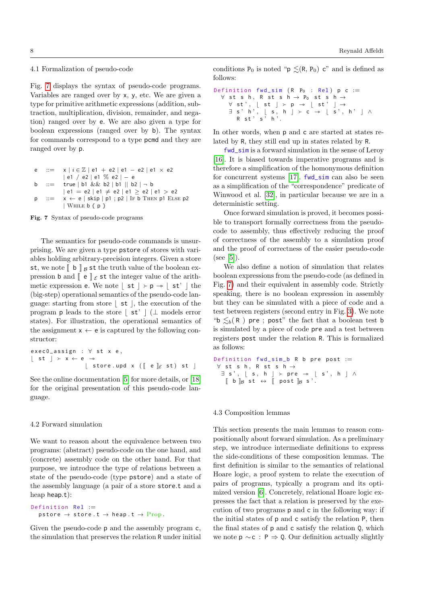## <span id="page-7-0"></span>4.1 Formalization of pseudo-code

Fig. [7](#page-7-3) displays the syntax of pseudo-code programs. Variables are ranged over by x, y, etc. We are given a type for primitive arithmetic expressions (addition, subtraction, multiplication, division, remainder, and negation) ranged over by e. We are also given a type for boolean expressions (ranged over by b). The syntax for commands correspond to a type pcmd and they are ranged over by p.

e ::= 
$$
x | i \in \mathbb{Z} | e1 + e2 | e1 - e2 | e1 \times e2
$$
  
\n $| e1 / e2 | e1 \% e2 | - e$   
\nb ::=  $\text{true} | b1 \& \& b2 | b1 | b2 | - b$   
\n $| e1 = e2 | e1 \neq e2 | e1 \geq e2 | e1 \geq e2$   
\np ::=  $x \leftarrow e | \text{skip} | p1 ; p2 | \text{IF b THEN } p1 \text{ ELSE } p2$   
\n| WHILE b { p }

<span id="page-7-3"></span>

The semantics for pseudo-code commands is unsurprising. We are given a type pstore of stores with variables holding arbitrary-precision integers. Given a store st, we note  $\lceil \cdot b \rceil$   $\beta$  st the truth value of the boolean expression **b** and  $\parallel$  **e**  $\parallel$  *g* st the integer value of the arithmetic expression e. We note  $\vert$  st  $\rangle$   $\rightarrow$   $\vert$  st'  $\vert$  the (big-step) operational semantics of the pseudo-code language: starting from store  $\vert$  st  $\vert$ , the execution of the program p leads to the store  $\vert$  st'  $\vert$  ( $\bot$  models error states). For illustration, the operational semantics of the assignment  $x \leftarrow e$  is captured by the following constructor:

$$
\begin{array}{ll}\n\texttt{exec0\_assign} : \forall \text{ st } x \text{ e}, \\
\downarrow \text{ st } \rfloor \rightarrow x \leftarrow e \rightarrow \\
& \qquad \qquad \downarrow \text{ store } .\texttt{upd } x \text{ (} [\neg \texttt{e } ]_{\mathcal{E}} \text{ st } ) \text{ st } \rfloor\n\end{array}
$$

See the online documentation [\[5\]](#page-16-7) for more details, or [\[18\]](#page-17-8) for the original presentation of this pseudo-code language.

#### <span id="page-7-1"></span>4.2 Forward simulation

We want to reason about the equivalence between two programs: (abstract) pseudo-code on the one hand, and (concrete) assembly code on the other hand. For that purpose, we introduce the type of relations between a state of the pseudo-code (type pstore) and a state of the assembly language (a pair of a store store.t and a heap heap.t):

```
Definition Rel :=p s t ore \rightarrow s t ore . t \rightarrow h e a p . t \rightarrow Prop.
```
Given the pseudo-code **p** and the assembly program **c**, the simulation that preserves the relation R under initial

conditions  $P_0$  is noted " $p \leq (R, P_0)$  c" and is defined as follows:

```
Definition fwd_sim (R \ P_0 : Rel) p c :=
  ∀ st s h, R st s h → P<sub>0</sub> st s h →\forall st', \lfloor st \rfloor \rightarrow p \rightarrow \lfloor st'\rfloor \rightarrow∃ s' h', | s, h | ≻ c → | s', h' | ∧<br>R st ' s ' h '.
```
In other words, when p and c are started at states related by R, they still end up in states related by R.

fwd\_sim is a forward simulation in the sense of Leroy [\[16\]](#page-17-11). It is biased towards imperative programs and is therefore a simplification of the homonymous definition for concurrent systems [\[17\]](#page-17-12). fwd\_sim can also be seen as a simplification of the "correspondence" predicate of Winwood et al. [\[32\]](#page-17-13), in particular because we are in a deterministic setting.

Once forward simulation is proved, it becomes possible to transport formally correctness from the pseudocode to assembly, thus effectively reducing the proof of correctness of the assembly to a simulation proof and the proof of correctness of the easier pseudo-code  $(see [5]).$  $(see [5]).$  $(see [5]).$ 

We also define a notion of simulation that relates boolean expressions from the pseudo-code (as defined in Fig. [7\)](#page-7-3) and their equivalent in assembly code. Strictly speaking, there is no boolean expression in assembly but they can be simulated with a piece of code and a test between registers (second entry in Fig. [3\)](#page-4-5). We note "b  $\leq_b(R)$  pre ; post" the fact that a boolean test b is simulated by a piece of code pre and a test between registers post under the relation R. This is formalized as follows:

```
Definition fwd_sim_b R b pre post :=∀ st s h , R st s h →
       \exists s', \lfloor s, h \rfloor \succ pre \rightarrow \lfloor s', h \rfloor \wedge \uparrow b \uparrow b \uparrow of post \uparrow on \uparrow\llbracket \;\; \mathsf{b} \;\; \rrbracket_{\mathcal{B}} \;\; \mathsf{s}\; \mathsf{t} \; \leftrightarrow \; \llbracket \;\; \mathsf{post} \;\; \rrbracket_{\mathcal{B}} \;\; \mathsf{s}\; \cdotp.
```
## <span id="page-7-2"></span>4.3 Composition lemmas

This section presents the main lemmas to reason compositionally about forward simulation. As a preliminary step, we introduce intermediate definitions to express the side-conditions of these composition lemmas. The first definition is similar to the semantics of relational Hoare logic, a proof system to relate the execution of pairs of programs, typically a program and its optimized version [\[6\]](#page-16-9). Concretely, relational Hoare logic expresses the fact that a relation is preserved by the execution of two programs p and c in the following way: if the initial states of p and c satisfy the relation P, then the final states of p and c satisfy the relation Q, which we note  $p \sim c : P \Rightarrow Q$ . Our definition actually slightly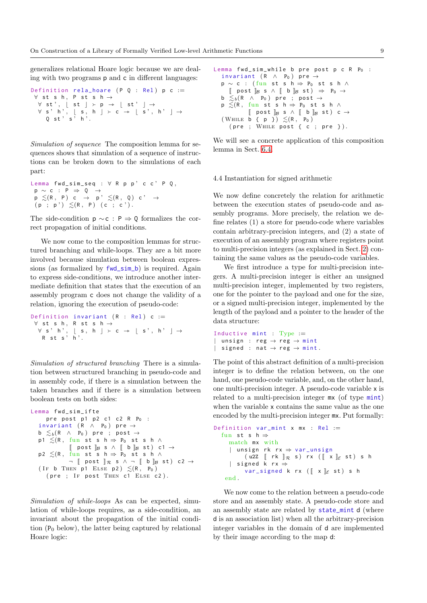generalizes relational Hoare logic because we are dealing with two programs p and c in different languages:

```
Definition rela_hoare (P Q : Rel) p c :=
 ∀ st s h , P st s h →
   \forall st', [st ] ≻ p → [st'] →<br>\forall s' h' c h | c o c | s'
   ∀ s ' h ', | s , h | ≻ c → | s ' , h ' | →<br>Q st ' s ' h '.
```
Simulation of sequence The composition lemma for sequences shows that simulation of a sequence of instructions can be broken down to the simulations of each part:

```
Lemma fwd_sim_seq : \forall R p p' c c' P Q,
 p \sim c : P \Rightarrow Q \rightarrowp \leq (R, P) c \rightarrow p' \leq (R, Q) c' \rightarrow(p ; p') \leq (R, P) (c ; c').
```
The side-condition  $p \sim c : P \Rightarrow Q$  formalizes the correct propagation of initial conditions.

We now come to the composition lemmas for structured branching and while-loops. They are a bit more involved because simulation between boolean expressions (as formalized by fwd\_sim\_b) is required. Again to express side-conditions, we introduce another intermediate definition that states that the execution of an assembly program c does not change the validity of a relation, ignoring the execution of pseudo-code:

```
Definition invariant (R : Rel) c :=∀ st s h , R st s h →
   \forall s' h', \lfloor s, h \rfloor \succ c \rightarrow \lfloor s', h' \rfloor \rightarrow R st s' h'.
```
Simulation of structured branching There is a simulation between structured branching in pseudo-code and in assembly code, if there is a simulation between the taken branches and if there is a simulation between boolean tests on both sides:

```
Lemma fwd_sim_ifte
      pre post p1 p2 c1 c2 R P_0 :
   invariant (R \wedge P_0) pre \rightarrowb \lesssim_b(R \wedge \overline{P}_0) pre ; post \rightarrowp1 \lesssim(R, fun st s h \Rightarrow P<sub>0</sub> st s h \land\parallel post \parallel<sub>B</sub> s ∧ \parallel b \parallel<sub>B</sub> st) c1 →
   p2 \leq (R, \text{ fun st s } h \Rightarrow P_0 \text{ st s } h \wedge\neg [ post ]\mathcal{R} s \wedge \neg [ b ]\mathcal{B} st) c2 \rightarrow( IF b THEN p1 ELSE p2) \leq (R, P_0)(pre; IF post THEN c1 ELSE c2).
```
Simulation of while-loops As can be expected, simulation of while-loops requires, as a side-condition, an invariant about the propagation of the initial condition  $(P_0$  below), the latter being captured by relational Hoare logic:

```
Lemma fwd_sim_while b pre post p c R P_0 :
   invariant (R \wedge P_0) pre \rightarrowp \sim c : (fun st s h \Rightarrow P<sub>0</sub> st s h \land\parallel post \parallel_B s \wedge \parallel b \parallel_B st) \Rightarrow P<sub>0</sub> \rightarrowb \lesssim_b(R \land P_0) pre ; post \rightarrowp \lesssim (R, \text{ fun st s } h \Rightarrow P_0 \text{ st s } h \wedge[ post ]<sub>B</sub> s \wedge [ b ]<sub>B</sub> st) c \rightarrow(WHILE \overline{b} { \overline{p} }) \leq (R, P_0)(pre ; WHILE post { c ; pre } ).
```
We will see a concrete application of this composition lemma in Sect. [6.4.](#page-11-0)

<span id="page-8-0"></span>4.4 Instantiation for signed arithmetic

We now define concretely the relation for arithmetic between the execution states of pseudo-code and assembly programs. More precisely, the relation we define relates (1) a store for pseudo-code where variables contain arbitrary-precision integers, and (2) a state of execution of an assembly program where registers point to multi-precision integers (as explained in Sect. [2\)](#page-1-0) containing the same values as the pseudo-code variables.

We first introduce a type for multi-precision integers. A multi-precision integer is either an unsigned multi-precision integer, implemented by two registers, one for the pointer to the payload and one for the size, or a signed multi-precision integer, implemented by the length of the payload and a pointer to the header of the data structure:

```
Inductive mint : Type :=unsign : reg \rightarrow reg \rightarrow mint
\frac{1}{\pi} signed : nat \rightarrow reg \rightarrow mint.
```
The point of this abstract definition of a multi-precision integer is to define the relation between, on the one hand, one pseudo-code variable, and, on the other hand, one multi-precision integer. A pseudo-code variable x is related to a multi-precision integer mx (of type mint) when the variable x contains the same value as the one encoded by the multi-precision integer mx. Put formally:

```
Definition var mint x mx : Rel :=
   fun st s h \Rightarrowmatch mx with
      | unsign rk rx \Rightarrow var_unsign
            ( u2Z [ rk ]_{\mathcal{R}} s) rx ( [ x ]_{\mathcal{E}} st) s h
         signed k rx \Rightarrowvar_signed k rx (\left[ \begin{array}{c} x \end{array} \right] \epsilon st) s h
    end .
```
We now come to the relation between a pseudo-code store and an assembly state. A pseudo-code store and an assembly state are related by state\_mint d (where d is an association list) when all the arbitrary-precision integer variables in the domain of d are implemented by their image according to the map d: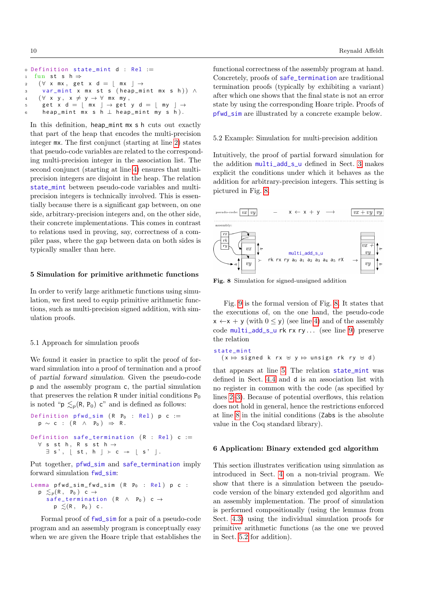```
o Definition state_mint d : Rel :=
1 fun st s h \Rightarrow2 (\forall x mx, get x d = | mx | \rightarrow3 var_mint x mx st s (heap_mint mx s h)) ∧
     (\forall x \ y, x \neq y \rightarrow \forall m x m y,5 get x d = \lfloor mx \rfloor \rightarrow get y d = \lfloor my \rfloorheap_mint mx s h \perp heap_mint my s h).
```
In this definition, heap\_mint mx s h cuts out exactly that part of the heap that encodes the multi-precision integer mx. The first conjunct (starting at line [2\)](#page-9-2) states that pseudo-code variables are related to the corresponding multi-precision integer in the association list. The second conjunct (starting at line [4\)](#page-9-3) ensures that multiprecision integers are disjoint in the heap. The relation state\_mint between pseudo-code variables and multiprecision integers is technically involved. This is essentially because there is a significant gap between, on one side, arbitrary-precision integers and, on the other side, their concrete implementations. This comes in contrast to relations used in proving, say, correctness of a compiler pass, where the gap between data on both sides is typically smaller than here.

#### <span id="page-9-0"></span>5 Simulation for primitive arithmetic functions

In order to verify large arithmetic functions using simulation, we first need to equip primitive arithmetic functions, such as multi-precision signed addition, with simulation proofs.

#### <span id="page-9-6"></span>5.1 Approach for simulation proofs

We found it easier in practice to split the proof of forward simulation into a proof of termination and a proof of partial forward simulation. Given the pseudo-code p and the assembly program c, the partial simulation that preserves the relation R under initial conditions  $P_0$ is noted " $p \leq_p(R, P_0)$  c" and is defined as follows:

```
Definition pfwd_sim (R \ P_0 : Rel) p c :=
   p \sim c : (R \wedge P_0) \Rightarrow R.
Definition safe_termination (R : Rel) c :=\forall s st h, R s st h \rightarrow\exists s', \lfloor st, h \rfloor \succ c \rightarrow \lfloor s' \rfloor.
```
Put together, pfwd\_sim and safe\_termination imply forward simulation fwd\_sim:

$$
\begin{array}{ll}\texttt{Lemma} & \texttt{pfwd\_sim-fwd\_sim} \texttt{ (R \ P_0 : Rel)} \texttt{p c :} \\ & \texttt{p} \lesssim_p(R, \texttt{ P_0}) \texttt{ c } \rightarrow \\ & \texttt{safe\_termination} \texttt{ (R \ A \ P_0) c } \rightarrow \\ & \texttt{p} \lesssim(R, \texttt{ P_0}) \texttt{ c.} \end{array}
$$

Formal proof of fwd\_sim for a pair of a pseudo-code program and an assembly program is conceptually easy when we are given the Hoare triple that establishes the

functional correctness of the assembly program at hand. Concretely, proofs of safe\_termination are traditional termination proofs (typically by exhibiting a variant) after which one shows that the final state is not an error state by using the corresponding Hoare triple. Proofs of pfwd\_sim are illustrated by a concrete example below.

## <span id="page-9-5"></span>5.2 Example: Simulation for multi-precision addition

Intuitively, the proof of partial forward simulation for the addition multi\_add\_s\_u defined in Sect. [3](#page-4-1) makes explicit the conditions under which it behaves as the addition for arbitrary-precision integers. This setting is pictured in Fig. [8.](#page-9-4)



<span id="page-9-4"></span>Fig. 8 Simulation for signed-unsigned addition

Fig. [9](#page-10-0) is the formal version of Fig. [8.](#page-9-4) It states that the executions of, on the one hand, the pseudo-code  $x \leftarrow x + y$  (with  $0 \le y$ ) (see line [4\)](#page-10-1) and of the assembly code multi\_add\_s\_u rk rx ry . . . (see line [9\)](#page-10-2) preserve the relation

```
state_mint
   (x \Rightarrow signed k rx \forall y \Rightarrow unsign rk ry \forall d)
```
that appears at line [5.](#page-10-3) The relation state\_mint was defined in Sect. [4.4](#page-8-0) and d is an association list with no register in common with the code (as specified by lines [2–](#page-10-4)[3\)](#page-10-5). Because of potential overflows, this relation does not hold in general, hence the restrictions enforced at line [8](#page-10-6) in the initial conditions (Zabs is the absolute value in the Coq standard library).

#### <span id="page-9-1"></span>6 Application: Binary extended gcd algorithm

This section illustrates verification using simulation as introduced in Sect. [4](#page-6-0) on a non-trivial program. We show that there is a simulation between the pseudocode version of the binary extended gcd algorithm and an assembly implementation. The proof of simulation is performed compositionally (using the lemmas from Sect. [4.3\)](#page-7-2) using the individual simulation proofs for primitive arithmetic functions (as the one we proved in Sect. [5.2](#page-9-5) for addition).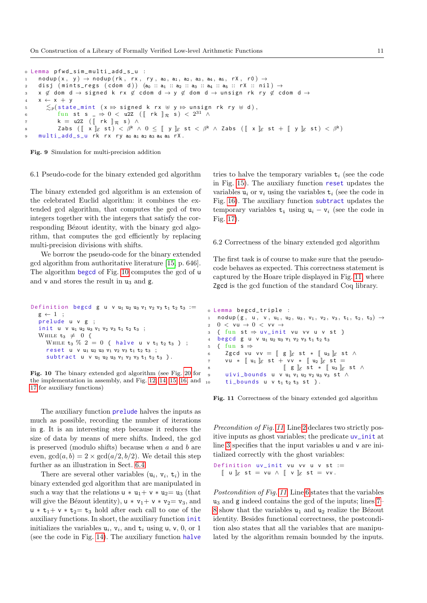<span id="page-10-5"></span><span id="page-10-4"></span><span id="page-10-3"></span><span id="page-10-1"></span>o Lemma pfwd\_sim\_multi\_add\_s\_u :  $\begin{array}{l} \texttt{1} \quad \texttt{nodup}\,(\texttt{x}\,,\;\;\texttt{y}) \, \rightarrow \, \texttt{nodup}\,(\texttt{rk}\,,\;\;\texttt{rx}\,,\;\;\texttt{ry}\,,\;\texttt{a}_0\,,\;\texttt{a}_1\,,\;\texttt{a}_2\,,\;\texttt{a}_3\,,\;\texttt{a}_4\,,\;\texttt{a}_5\,,\;\;\texttt{rX}\,,\;\;\texttt{r0}\,) \, \rightarrow \end{array}$ 2 disj (mints\_regs (cdom d))  $(a_0 :: a_1 :: a_2 :: a_3 :: a_4 :: a_5 :: rX :: nil) \rightarrow$  $3 \times \mathcal{C}$  dom d  $\rightarrow$  signed k rx  $\mathcal{C}$  cdom d  $\rightarrow$  y  $\mathcal{C}$  dom d  $\rightarrow$  unsign rk ry  $\mathcal{C}$  cdom d  $\rightarrow$  $4$   $x \leftarrow x + y$  $\lesssim_{p}$ (state\_mint (x  $\Rightarrow$  signed k rx  $\forall$  y  $\Rightarrow$  unsign rk ry  $\forall$  d), 6 funst s  $\Rightarrow$  0 < u2Z ([rk ] $\pi$  s) <  $2^{31}$  ^ <sup>7</sup> <sup>k</sup> <sup>=</sup> u2Z ( <sup>J</sup> rk <sup>K</sup><sup>R</sup> <sup>s</sup> ) <sup>∧</sup> 8 Zabs  $(\llbracket x \rrbracket_{\mathcal{E}} \text{st}) < \beta^k \wedge 0 \leq \llbracket y \rrbracket_{\mathcal{E}} \text{st} < \beta^k \wedge 2$ abs  $(\llbracket x \rrbracket_{\mathcal{E}} \text{st} + \llbracket y \rrbracket_{\mathcal{E}} \text{st}) < \beta^k)$  $9$  multi\_add\_s\_u rk rx ry  $a_0$   $a_1$   $a_2$   $a_3$   $a_4$   $a_5$  rX.

<span id="page-10-6"></span><span id="page-10-2"></span><span id="page-10-0"></span>Fig. 9 Simulation for multi-precision addition

6.1 Pseudo-code for the binary extended gcd algorithm

The binary extended gcd algorithm is an extension of the celebrated Euclid algorithm: it combines the extended gcd algorithm, that computes the gcd of two integers together with the integers that satisfy the corresponding Bézout identity, with the binary gcd algorithm, that computes the gcd efficiently by replacing multi-precision divisions with shifts.

We borrow the pseudo-code for the binary extended gcd algorithm from authoritative literature [\[15,](#page-17-14) p. 646]. The algorithm begcd of Fig. [10](#page-10-7) computes the gcd of u and  $\nu$  and stores the result in  $u_3$  and  $g$ .

```
Definition begcd g u v u<sub>1</sub> u<sub>2</sub> u<sub>3</sub> v<sub>1</sub> v<sub>2</sub> v<sub>3</sub> t<sub>1</sub> t<sub>2</sub> t<sub>3</sub> :=
     g \leftarrow 1 ;
     prelude u v g ;
     init u v u<sub>1</sub> u<sub>2</sub> u<sub>3</sub> v<sub>1</sub> v<sub>2</sub> v<sub>3</sub> t<sub>1</sub> t<sub>2</sub> t<sub>3</sub> ;
     WHILE t_3 \neq 0 {
           WHILE t_3 \% 2 = 0 { halve u v t_1 t_2 t_3 } ;
           reset u v u<sub>1</sub> u<sub>2</sub> u<sub>3</sub> v<sub>1</sub> v<sub>2</sub> v<sub>3</sub> t<sub>1</sub> t<sub>2</sub> t<sub>3</sub> ;
           subtract u v u_1 u_2 u_3 v_1 v_2 v_3 t_1 t_2 t_3 .
```
<span id="page-10-7"></span>Fig. 10 The binary extended gcd algorithm (see Fig. [20](#page-18-0) for the implementation in assembly, and Fig. [12,](#page-12-0) [14,](#page-13-0) [15,](#page-13-1) [16,](#page-13-2) and [17](#page-14-1) for auxiliary functions)

The auxiliary function prelude halves the inputs as much as possible, recording the number of iterations in g. It is an interesting step because it reduces the size of data by means of mere shifts. Indeed, the gcd is preserved (modulo shifts) because when a and b are even,  $gcd(a, b) = 2 \times gcd(a/2, b/2)$ . We detail this step further as an illustration in Sect. [6.4.](#page-11-0)

There are several other variables  $(\mathbf{u}_i, \mathbf{v}_i, \mathbf{t}_i)$  in the binary extended gcd algorithm that are manipulated in such a way that the relations  $u * u_1 + v * u_2 = u_3$  (that will give the Bézout identity),  $u * v_1 + v * v_2 = v_3$ , and  $u * t_1 + v * t_2 = t_3$  hold after each call to one of the auxiliary functions. In short, the auxiliary function init initializes the variables  $u_i$ ,  $v_i$ , and  $t_i$  using u, v, 0, or 1 (see the code in Fig. [14\)](#page-13-0). The auxiliary function halve tries to halve the temporary variables  $t_i$  (see the code in Fig. [15\)](#page-13-1). The auxiliary function reset updates the variables  $u_i$  or  $v_i$  using the variables  $t_i$  (see the code in Fig. [16\)](#page-13-2). The auxiliary function subtract updates the temporary variables  $t_i$  using  $u_i - v_i$  (see the code in Fig. [17\)](#page-14-1).

<span id="page-10-14"></span>6.2 Correctness of the binary extended gcd algorithm

The first task is of course to make sure that the pseudocode behaves as expected. This correctness statement is captured by the Hoare triple displayed in Fig. [11,](#page-10-8) where Zgcd is the gcd function of the standard Coq library.

```
o Lemma begcd_triple :
  1 nodup (g, u, v, u<sub>1</sub>, u<sub>2</sub>, u<sub>3</sub>, v<sub>1</sub>, v<sub>2</sub>, v<sub>3</sub>, t<sub>1</sub>, t<sub>2</sub>, t<sub>3</sub>) \rightarrow2 \quad 0 \; < \; \mathsf{vu} \; \rightarrow \; 0 \; < \; \mathsf{vv} \; \rightarrow3 { fun st \Rightarrow uv_init vu vv u v st }
          b eg c d g u v u<sub>1</sub> u<sub>2</sub> u<sub>3</sub> v<sub>1</sub> v<sub>2</sub> v<sub>3</sub> t<sub>1</sub> t<sub>2</sub> t<sub>3</sub>
  5 { fun s \Rightarrow6 Z g c d vu v v = \left[\begin{array}{c} g \ g \end{array}\right] g st * \left[\begin{array}{c} u_3 \ g \end{array}\right] g st \wedge<br>7 vu * \left[\begin{array}{c} u_1 \ h_2 \ g \end{array}\right] g st * \left[\begin{array}{c} u_3 \ g \ h_1 \end{array}\right] g st =
                  vu * [\![u_1]\!]_{\mathcal{E}} st + vv * [\![u_2]\!]_{\mathcal{E}} st =<br>[\![g]\!]_{\mathcal{E}} st * [\![u_3]\!]_{\mathcal{E}} st \wedge8 \text{g} \parallel_{\mathcal{E}} \text{st} * \parallel \text{u}_3 \parallel_{\mathcal{E}} \text{st} \wedge<br>9 uivi_bounds u v u<sub>1</sub> v<sub>1</sub> u<sub>2</sub> v<sub>2</sub> u<sub>3</sub> v<sub>3</sub> st ∧
10 ti_bounds u v t_1 t_2 t_3 st }.
```
<span id="page-10-13"></span><span id="page-10-12"></span><span id="page-10-8"></span>Fig. 11 Correctness of the binary extended gcd algorithm

Precondition of Fig. [11](#page-10-8) Line [2](#page-10-9) declares two strictly positive inputs as ghost variables; the predicate uv\_init at line [3](#page-10-10) specifies that the input variables u and v are initialized correctly with the ghost variables:

Definition  $uv\_init$  vu vv u v st :=  $\llbracket u \rrbracket_{\mathcal{E}}$  st = vu  $\wedge \llbracket v \rrbracket_{\mathcal{E}}$  st = vv.

Postcondition of Fig. [11](#page-10-8) Line [6](#page-10-11) states that the variables u<sup>3</sup> and g indeed contains the gcd of the inputs; lines [7–](#page-10-12) [8](#page-10-13) show that the variables  $u_1$  and  $u_2$  realize the Bézout identity. Besides functional correctness, the postcondition also states that all the variables that are manipulated by the algorithm remain bounded by the inputs.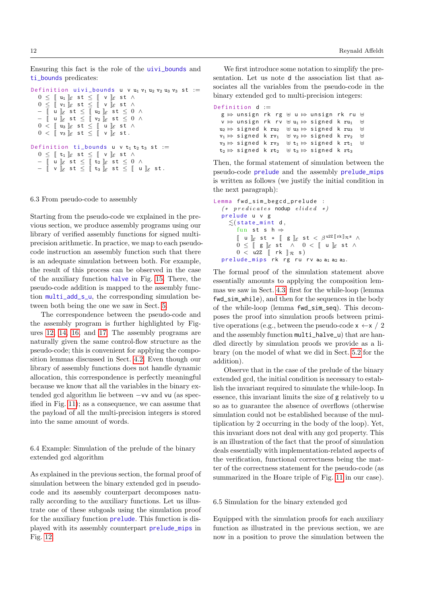Ensuring this fact is the role of the uivi\_bounds and ti\_bounds predicates:

Definition uivi\_bounds u v u<sub>1</sub> v<sub>1</sub> u<sub>2</sub> v<sub>2</sub> u<sub>3</sub> v<sub>3</sub> st :=  $0 \leq \left[\begin{array}{c} u_1 \end{array}\right]_{\mathcal{E}}$  st  $\leq \left[\begin{array}{c} v \end{array}\right]_{\mathcal{E}}$  st  $\wedge$ <br>  $0 \leq \left[\begin{array}{c} v_1 \end{array}\right]_{\mathcal{E}}$  st  $\leq \left[\begin{array}{c} v \end{array}\right]_{\mathcal{E}}$  st  $\wedge$  $0 \leq \left[ \begin{array}{c} v_1 \end{array} \right]_{\mathcal{E}}$  st  $\leq \left[ \begin{array}{c} v \end{array} \right]_{\mathcal{E}}$  st  $\wedge$ <br>  $- \left[ \begin{array}{c} u \end{array} \right]_{\mathcal{E}}$  st  $\leq \left[ \begin{array}{c} u_2 \end{array} \right]_{\mathcal{E}}$  st  $\leq 0 \wedge$  $-\left[\begin{array}{c} \mathsf{u} \ \mathsf{v} \end{array}\right]_{\mathcal{E}}$  st  $\leq \left[\begin{array}{c} \mathsf{u}_2 \ \mathsf{v} \end{array}\right]_{\mathcal{E}}$  st  $\leq 0$   $\wedge$  $-\mathbb{I}$  u  $\mathbb{I}_{\mathcal{E}}$  st  $\leq \mathbb{I}$  v<sub>2</sub>  $\mathbb{I}_{\mathcal{E}}$  st  $\leq 0 \land$  $0 < [$  u<sub>3</sub>  $]$ <sub>*E*</sub> st  $\le$  [ u  $]$ <sub>*E*</sub> st ∧  $0 < \lbrack \lbrack \mathbf{v}_3 \rbrack \rbrack_{\mathcal{E}}$  st  $\leq \lbrack \lbrack \;\; \mathbf{v} \;\rbrack \rbrack_{\mathcal{E}}$  st. Definition ti\_bounds u v  $t_1$   $t_2$   $t_3$  st :=  $0 \leq \lVert t_1 \rVert_{\mathcal{E}}$  st  $\leq \lVert v \rVert_{\mathcal{E}}$  st  $\wedge$  $-\mathbb{I}$  u  $\mathbb{I}_{\mathcal{E}}$  st  $\leq \mathbb{I}$  t<sub>2</sub>  $\mathbb{I}_{\mathcal{E}}$  st  $\leq 0 \land$  $\sqrt{\varepsilon}$  st  $\leq$   $\sqrt{\varepsilon}$  t<sub>3</sub>  $\varepsilon$  st  $\leq$   $\sqrt{\varepsilon}$  u  $\varepsilon$  st.

## 6.3 From pseudo-code to assembly

Starting from the pseudo-code we explained in the previous section, we produce assembly programs using our library of verified assembly functions for signed multiprecision arithmetic. In practice, we map to each pseudocode instruction an assembly function such that there is an adequate simulation between both. For example, the result of this process can be observed in the case of the auxiliary function halve in Fig. [15.](#page-13-1) There, the pseudo-code addition is mapped to the assembly function multi\_add\_s\_u, the corresponding simulation between both being the one we saw in Sect. [5.](#page-9-0)

The correspondence between the pseudo-code and the assembly program is further highlighted by Figures [12,](#page-12-0) [14,](#page-13-0) [16,](#page-13-2) and [17.](#page-14-1) The assembly programs are naturally given the same control-flow structure as the pseudo-code; this is convenient for applying the composition lemmas discussed in Sect. [4.2.](#page-7-1) Even though our library of assembly functions does not handle dynamic allocation, this correspondence is perfectly meaningful because we know that all the variables in the binary extended gcd algorithm lie between −vv and vu (as specified in Fig. [11\)](#page-10-8); as a consequence, we can assume that the payload of all the multi-precision integers is stored into the same amount of words.

<span id="page-11-0"></span>6.4 Example: Simulation of the prelude of the binary extended gcd algorithm

As explained in the previous section, the formal proof of simulation between the binary extended gcd in pseudocode and its assembly counterpart decomposes naturally according to the auxiliary functions. Let us illustrate one of these subgoals using the simulation proof for the auxiliary function prelude. This function is displayed with its assembly counterpart prelude\_mips in Fig. [12.](#page-12-0)

We first introduce some notation to simplify the presentation. Let us note d the association list that associates all the variables from the pseudo-code in the binary extended gcd to multi-precision integers:

```
Definition d :=g \mapsto unsign rk rg \oplus u \Rightarrow unsign rk ru \oplus<br>v \Rightarrow unsign rk rv \oplus u<sub>1</sub> \Rightarrow signed k ru, \oplusv \Rightarrow unsign rk rv \oplus u<sub>1</sub> \Rightarrow signed k ru<sub>1</sub> \oplus u<sub>2</sub> \Rightarrow signed k ru<sub>3</sub> \oplusu_2 \Rightarrow signed k ru<sub>2</sub> ⊎ u<sub>3</sub> \Rightarrow signed k ru<sub>3</sub> ⊎<br>v_1 \Rightarrow signed k rv<sub>1</sub> ⊎ v<sub>2</sub> \Rightarrow signed k rv<sub>2</sub> ⊎
     v_1 \Rightarrow signed k rv<sub>1</sub> \forall v_2 \Rightarrow signed k rv<sub>2</sub> \forall v_3 \Rightarrow signed k rt<sub>1</sub> \forall v_3v_3 \Rightarrow signed k rv_3 \oplus t_1 \Rightarrow signed k rt_1<br>t_2 \Rightarrow signed k rt_2 \oplus t_3 \Rightarrow signed k rt_3\forall t_3 \mapsto signed k rt<sub>3</sub>
```
Then, the formal statement of simulation between the pseudo-code prelude and the assembly prelude\_mips is written as follows (we justify the initial condition in the next paragraph):

```
Lemma fwd_sim_begcd_prelude :
      (*\ predicates\ nodup\ elided\ *)prelude u v g
           \lesssim(state_mint d,
                 fun st s h \Rightarrow\llbracket \begin{array}{c} u \end{array} \rrbracket_{\mathcal{E}} \text{ st } * \text{ } \llbracket \begin{array}{c} g \end{array} \rrbracket_{\mathcal{E}} \text{ st } < \beta^{u2Z \llbracket \text{ rk } \rrbracket_{\mathcal{R}^S}} \wedge0 \;\leq\; [\![\;\; {\bf g}\;]\!]_{\mathcal E} \text{ s.t } \text{ $\wedge$} \text{ } \text{ } \text{ } \text{ } 0 \;<\; [\![\;\; {\bf u}\;]\!]_{\mathcal E} \text{ s.t } \text{ $\wedge$}0 < u2Z \parallel rk \parallel_{\mathcal{R}} s)prelude_mips rk rg ru rv a_0 a_1 a_2 a_3.
```
The formal proof of the simulation statement above essentially amounts to applying the composition lemmas we saw in Sect. [4.3:](#page-7-2) first for the while-loop (lemma fwd\_sim\_while), and then for the sequences in the body of the while-loop (lemma fwd\_sim\_seq). This decomposes the proof into simulation proofs between primitive operations (e.g., between the pseudo-code  $x \leftarrow x / 2$ and the assembly function multi\_halve\_u) that are handled directly by simulation proofs we provide as a library (on the model of what we did in Sect. [5.2](#page-9-5) for the addition).

Observe that in the case of the prelude of the binary extended gcd, the initial condition is necessary to establish the invariant required to simulate the while-loop. In essence, this invariant limits the size of g relatively to u so as to guarantee the absence of overflows (otherwise simulation could not be established because of the multiplication by 2 occurring in the body of the loop). Yet, this invariant does not deal with any gcd property. This is an illustration of the fact that the proof of simulation deals essentially with implementation-related aspects of the verification, functional correctness being the matter of the correctness statement for the pseudo-code (as summarized in the Hoare triple of Fig. [11](#page-10-8) in our case).

#### 6.5 Simulation for the binary extended gcd

Equipped with the simulation proofs for each auxiliary function as illustrated in the previous section, we are now in a position to prove the simulation between the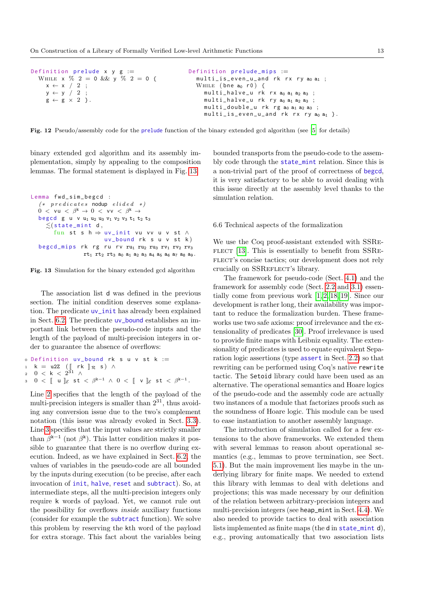```
Definition prelude x y g :=WHILE x \% 2 = 0 && y % 2 = 0 {
     x \leftarrow x / 2;
    y \leftarrow y / 2 ;
     g \leftarrow g \times 2 }.
                                                   Definition prelude_mips :=
                                                      multi\_is\_even\_u\_and rk rx ry a_0 a_1;
                                                      WHILE (bne a_0 r0) {
                                                         multi\_halve\_u rk rx a_0 a_1 a_2 a_3;
                                                         multi\_halve\_u rk ry a_0 a_1 a_2 a_3;
                                                         multi\_double\_u rk rg a_0 a_1 a_2 a_3;
                                                         multi_is_even_u_and rk rx ry a_0 a_1 }.
```
<span id="page-12-0"></span>Fig. 12 Pseudo/assembly code for the prelude function of the binary extended gcd algorithm (see [\[5\]](#page-16-7) for details)

binary extended gcd algorithm and its assembly implementation, simply by appealing to the composition lemmas. The formal statement is displayed in Fig. [13.](#page-12-1)

```
Lemma fwd_sim_begcd :
    (*\ predictes\ nodup\ elided\ *)0 < vu < \beta^k \rightarrow 0 < vv < \beta^k \rightarrowb e g c d g u v u<sub>1</sub> u<sub>2</sub> u<sub>3</sub> v<sub>1</sub> v<sub>2</sub> v<sub>3</sub> t<sub>1</sub> t<sub>2</sub> t<sub>3</sub>
        \lesssim(state_mint d,
            fun st s h \Rightarrow uv_init vu vv u v st \wedgeuv_b ound rk s u v st k)
    begcd_mips rk rg ru rv ru_1 ru<sub>2</sub> ru<sub>3</sub> rv<sub>1</sub> rv<sub>2</sub> rv<sub>3</sub>
                           rt_1 rt_2 rt_3 a_0 a_1 a_2 a_3 a_4 a_5 a_6 a_7 a_8 a_9.
```
<span id="page-12-1"></span>Fig. 13 Simulation for the binary extended gcd algorithm

The association list d was defined in the previous section. The initial condition deserves some explanation. The predicate uv\_init has already been explained in Sect. [6.2.](#page-10-14) The predicate uv\_bound establishes an important link between the pseudo-code inputs and the length of the payload of multi-precision integers in order to guarantee the absence of overflows:

```
0 Definition uv_bound rk s u v st k :=
 \begin{array}{ll} 1 & k = \text{u2Z} & (\lbrack\!\lbrack \ \ \text{r}{\sf k} \ \rbrack\!\rbrack_\mathcal{R} \ \text{s) } \wedge \\ 2 & 0 < k < 2^{31} \ \wedge \end{array}3 \quad 0 \leq \left[ \begin{array}{c} \infty \end{array} \right] u \left[ \begin{array}{c} \infty \end{array} \right] st \leq \beta^{k-1} \wedge 0 \leq \left[ \begin{array}{c} \infty \end{array} \right] v \left[ \begin{array}{c} \infty \end{array} \right] st \leq \beta^{k-1}.
```
<span id="page-12-3"></span>Line [2](#page-12-2) specifies that the length of the payload of the multi-precision integers is smaller than  $2^{31}$ , thus avoiding any conversion issue due to the two's complement notation (this issue was already evoked in Sect. [3.3\)](#page-6-1). Line [3](#page-12-3) specifies that the input values are strictly smaller than  $\beta^{k-1}$  (not  $\beta^k$ ). This latter condition makes it possible to guarantee that there is no overflow during execution. Indeed, as we have explained in Sect. [6.2,](#page-10-14) the values of variables in the pseudo-code are all bounded by the inputs during execution (to be precise, after each invocation of init, halve, reset and subtract). So, at intermediate steps, all the multi-precision integers only require k words of payload. Yet, we cannot rule out the possibility for overflows inside auxiliary functions (consider for example the subtract function). We solve this problem by reserving the kth word of the payload for extra storage. This fact about the variables being bounded transports from the pseudo-code to the assembly code through the state\_mint relation. Since this is a non-trivial part of the proof of correctness of begcd, it is very satisfactory to be able to avoid dealing with this issue directly at the assembly level thanks to the simulation relation.

#### 6.6 Technical aspects of the formalization

We use the Coq proof-assistant extended with SSRe-FLECT  $[13]$ . This is essentially to benefit from SSREflect's concise tactics; our development does not rely crucially on SSREFLECT's library.

The framework for pseudo-code (Sect. [4.1\)](#page-7-0) and the framework for assembly code (Sect. [2.2](#page-2-0) and [3.1\)](#page-4-0) essentially come from previous work [\[1,](#page-16-2) [2,](#page-16-3) [18,](#page-17-8) [19\]](#page-17-15). Since our development is rather long, their availability was important to reduce the formalization burden. These frameworks use two safe axioms: proof irrelevance and the extensionality of predicates [\[30\]](#page-17-16). Proof irrelevance is used to provide finite maps with Leibniz equality. The extensionality of predicates is used to equate equivalent Separation logic assertions (type assert in Sect. [2.2\)](#page-2-0) so that rewriting can be performed using Coq's native rewrite tactic. The Setoid library could have been used as an alternative. The operational semantics and Hoare logics of the pseudo-code and the assembly code are actually two instances of a module that factorizes proofs such as the soundness of Hoare logic. This module can be used to ease instantiation to another assembly language.

The introduction of simulation called for a few extensions to the above frameworks. We extended them with several lemmas to reason about operational semantics (e.g., lemmas to prove termination, see Sect. [5.1\)](#page-9-6). But the main improvement lies maybe in the underlying library for finite maps. We needed to extend this library with lemmas to deal with deletions and projections; this was made necessary by our definition of the relation between arbitrary-precision integers and multi-precision integers (see heap\_mint in Sect. [4.4\)](#page-8-0). We also needed to provide tactics to deal with association lists implemented as finite maps (the d in state\_mint d), e.g., proving automatically that two association lists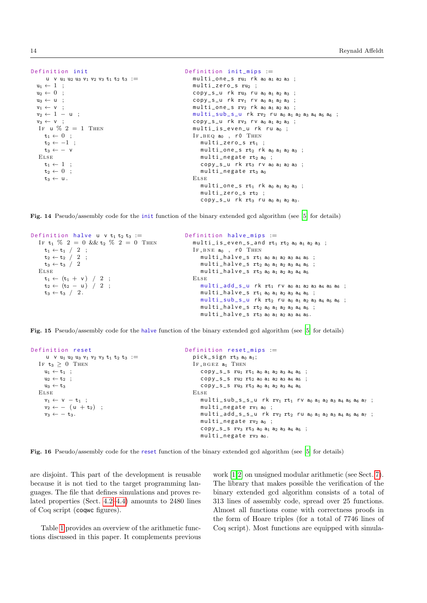Definition init u v u<sub>1</sub> u<sub>2</sub> u<sub>3</sub> v<sub>1</sub> v<sub>2</sub> v<sub>3</sub> t<sub>1</sub> t<sub>2</sub> t<sub>3</sub> :=  $u_1 \leftarrow 1$ ;  $u_2 \leftarrow 0$  ;  $u_3 \leftarrow u$  ;  $v_1 \leftarrow v \quad ;$  $v_2 \leftarrow 1 - u$ ;  $v_3 \leftarrow v$ ; IF  $\theta$   $\%$  2 = 1 THEN  $\mathtt{t_1} \gets 0$  ;  $t_2 \leftarrow -1$  ;  $t_3 \leftarrow -$  v Else  $t_1 \leftarrow 1$ ;  $t_2 \leftarrow 0$ ;  $t_3 \leftarrow u$ .

```
Definition init_mips :=multi\_{one} su_1 rk a_0 a_1 a_2 a_3;
   multi _zero _s ru<sub>2</sub>;
   copy_s_u rk ru<sub>3</sub> ru a_0 a_1 a_2 a_3;
   copy_s_u rk rv<sub>1</sub> rv a<sub>0</sub> a<sub>1</sub> a<sub>2</sub> a<sub>3</sub>
   multi_one_s rv<sub>2</sub> rk a<sub>0</sub> a<sub>1</sub> a<sub>2</sub> a<sub>3</sub> ;
   multi\_sub\_s\_u rk rv<sub>2</sub> ru a<sub>0</sub> a<sub>1</sub> a<sub>2</sub> a<sub>3</sub> a<sub>4</sub> a<sub>5</sub> a<sub>6</sub> ;
   copy_s_u rk rv<sub>3</sub> rv a_0 a_1 a_2 a_3;
   multi_is_e v en_u rk ru a_0 ;
   IF<sub>-BEQ</sub> a_0, r0 THEN
       multi\_zero\_s rt_1 ;
       multi\_one\_s rt<sub>2</sub> rk a<sub>0</sub> a<sub>1</sub> a<sub>2</sub> a<sub>3</sub> ;
       multi_negate rt<sub>2</sub> a<sub>0</sub> ;
       copy_s_u rk rt_3 rv a_0 a_1 a_2 a_3;
       multi negate rt_3 a<sub>0</sub>
   Else
       multi_one_s rt_1 rk a_0 a_1 a_2 a_3;
        multi\_zero\_s rt_2 ;
       copy_s_u rk rt3 ru ao a1 a2 a3.
```
<span id="page-13-0"></span>Fig. 14 Pseudo/assembly code for the init function of the binary extended gcd algorithm (see [\[5\]](#page-16-7) for details)

```
Definition halve u v t_1 t_2 t_3 :=
    IF t_1 % 2 = 0 & & t_2 % 2 = 0 THEN
       t_1 \leftarrow t_1 / 2 ;
       t_2 \leftarrow t_2 / 2 ;
       t_3 \leftarrow t_3 / 2Else
        t_1 \leftarrow (t_1 + v) / 2;
       t_2 \leftarrow (t_2 - u) / 2;
        t_3 \leftarrow t_3 / 2.
                                                                                        Definition halve mips :=multi_is\_even_s_and rt_1 rt_2 a_0 a_1 a_2 a_3 ;IFBNE a_0 , r0 THEN
                                                                                                 multi\_halve\_s rt_1 a<sub>0</sub> a<sub>1</sub> a<sub>2</sub> a<sub>3</sub> a<sub>4</sub> a<sub>5</sub> ;
                                                                                                 multi\_halve\_s rt<sub>2</sub> a<sub>0</sub> a<sub>1</sub> a<sub>2</sub> a<sub>3</sub> a<sub>4</sub> a<sub>5</sub>multi_hal ve srt_3 a<sub>0</sub> a<sub>1</sub> a<sub>2</sub> a<sub>3</sub> a<sub>4</sub> a<sub>5</sub>
                                                                                            Else
                                                                                                 multi\_add_s_u rk rt<sub>1</sub> rv a_0 a_1 a_2 a_3 a_4 a_5 a_6;
                                                                                                 multi_hallow 2 s rt_1 a_0 a_1 a_2 a_3 a_4 a_5 ;multi\_sub\_s\_u rk rt<sub>2</sub> ru a<sub>0</sub> a<sub>1</sub> a<sub>2</sub> a<sub>3</sub> a<sub>4</sub> a<sub>5</sub> a<sub>6</sub> ;
                                                                                                 multi_halve_s rt_2 a_0 a_1 a_2 a_3 a_4 a_5 ;{\tt multi\_halve\_s}rt_3 a<sub>0</sub> a<sub>1</sub> a<sub>2</sub> a<sub>3</sub> a<sub>4</sub> a<sub>5</sub>.
```
<span id="page-13-1"></span>Fig. 15 Pseudo/assembly code for the halve function of the binary extended gcd algorithm (see [\[5\]](#page-16-7) for details)

```
Definition reset
          u v u<sub>1</sub> u<sub>2</sub> u<sub>3</sub> v<sub>1</sub> v<sub>2</sub> v<sub>3</sub> t<sub>1</sub> t<sub>2</sub> t<sub>3</sub> :=
      IF t_3 \geq 0 Then
          u_1 \leftarrow t_1;
          u_2 \leftarrow t_2 ;
          u_3 \leftarrow t_3Else
          v_1 \leftarrow v - t_1;
          v_2 \leftarrow - (u + t_2);
          v_3 \leftarrow -t_3.
                                                                                                                    Definition reset\_mips :=pick\_sign rt_3 a_0 a_1;
                                                                                                                          IFB GEZ a_1 THEN
                                                                                                                                 copy_S_S ru<sub>1</sub> rt<sub>1</sub> a<sub>0</sub> a<sub>1</sub> a<sub>2</sub> a<sub>3</sub> a<sub>4</sub> a<sub>5</sub> ;
                                                                                                                                copy_S_S ru<sub>2</sub> rt<sub>2</sub> a<sub>0</sub> a<sub>1</sub> a<sub>2</sub> a<sub>3</sub> a<sub>4</sub> a<sub>5</sub> ;
                                                                                                                                 copy_s_s ru<sub>3</sub> rt<sub>3</sub> a<sub>0</sub> a<sub>1</sub> a<sub>2</sub> a<sub>3</sub> a<sub>4</sub> a<sub>5</sub>
                                                                                                                          Else
                                                                                                                                multi_sub_s_s_u rk rv_1 rt<sub>1</sub> rv a<sub>0</sub> a<sub>1</sub> a<sub>2</sub> a<sub>3</sub> a<sub>4</sub> a<sub>5</sub> a<sub>6</sub> a<sub>7</sub> ;
                                                                                                                                multi_n e ate rv_1 a_0;
                                                                                                                                multi\_add\_s\_s\_u rk rv<sub>2</sub> rt<sub>2</sub> ru a<sub>0</sub> a<sub>1</sub> a<sub>2</sub> a<sub>3</sub> a<sub>4</sub> a<sub>5</sub> a<sub>6</sub> a<sub>7</sub> ;
                                                                                                                                multi_n e ate rv_2 a_0;
                                                                                                                                copy_S_S rv<sub>3</sub> rt<sub>3</sub> a<sub>0</sub> a<sub>1</sub> a<sub>2</sub> a<sub>3</sub> a<sub>4</sub> a<sub>5</sub> ;
                                                                                                                                multi_n e ate rv_3 a_0.
```
<span id="page-13-2"></span>Fig. 16 Pseudo/assembly code for the reset function of the binary extended gcd algorithm (see [\[5\]](#page-16-7) for details)

are disjoint. This part of the development is reusable because it is not tied to the target programming languages. The file that defines simulations and proves related properties (Sect. [4.2](#page-7-1)[–4.4\)](#page-8-0) amounts to 2480 lines of Coq script (coqwc figures).

Table [1](#page-15-0) provides an overview of the arithmetic functions discussed in this paper. It complements previous work [\[1,](#page-16-2)[2\]](#page-16-3) on unsigned modular arithmetic (see Sect. [7\)](#page-14-0). The library that makes possible the verification of the binary extended gcd algorithm consists of a total of 313 lines of assembly code, spread over 25 functions. Almost all functions come with correctness proofs in the form of Hoare triples (for a total of 7746 lines of Coq script). Most functions are equipped with simula-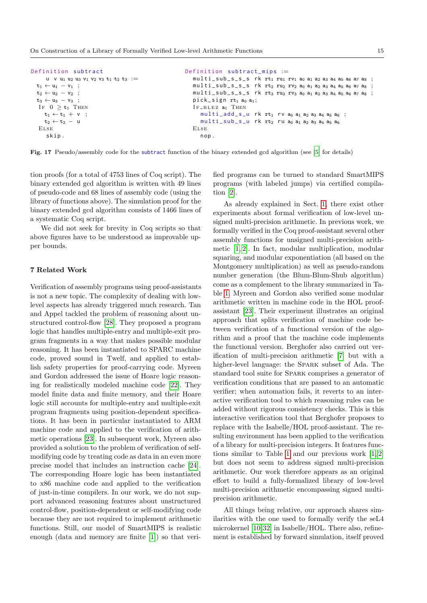```
Definition subtract
           u v u<sub>1</sub> u<sub>2</sub> u<sub>3</sub> v<sub>1</sub> v<sub>2</sub> v<sub>3</sub> t<sub>1</sub> t<sub>2</sub> t<sub>3</sub> :=
     t_1 \leftarrow u_1 - v_1;
    t_2 \leftarrow u_2 - v_2 ;
     t_3 \leftarrow u_3 - v_3;
      IF 0 \geq t_1 THEN
           t_1 \leftarrow t_1 + v;
           t_2 \leftarrow t_2 - uElse
            s k i p .
                                                                                                                              Definition subtract_mips :=multi\_sub\_s\_s\_s rk rt<sub>1</sub> ru<sub>1</sub> rv<sub>1</sub> a<sub>0</sub> a<sub>1</sub> a<sub>2</sub> a<sub>3</sub> a<sub>4</sub> a<sub>5</sub> a<sub>6</sub> a<sub>7</sub> a<sub>8</sub> ;
                                                                                                                                    multi\_sub\_s\_s\_s rk rt<sub>2</sub> ru<sub>2</sub> rv<sub>2</sub> a<sub>0</sub> a<sub>1</sub> a<sub>2</sub> a<sub>3</sub> a<sub>4</sub> a<sub>5</sub> a<sub>6</sub> a<sub>7</sub> a<sub>8</sub> ;
                                                                                                                                    multi\_sub\_s\_s\_s rk rt<sub>3</sub> ru<sub>3</sub> rv<sub>3</sub> a<sub>0</sub> a<sub>1</sub> a<sub>2</sub> a<sub>3</sub> a<sub>4</sub> a<sub>5</sub> a<sub>6</sub> a<sub>7</sub> a<sub>8</sub> ;
                                                                                                                                    pick sign rt_1 ao a<sub>1</sub>:
                                                                                                                                    IF BLEZ a<sub>1</sub> THEN
                                                                                                                                          multi\_add\_s\_u rk rt<sub>1</sub> rv a<sub>0</sub> a<sub>1</sub> a<sub>2</sub> a<sub>3</sub> a<sub>4</sub> a<sub>5</sub> a<sub>6</sub> ;
                                                                                                                                          multi\_sub\_s_u rk rt<sub>2</sub> ru a<sub>0</sub> a<sub>1</sub> a<sub>2</sub> a<sub>3</sub> a<sub>4</sub> a<sub>5</sub> a<sub>6</sub>
                                                                                                                                    Else
                                                                                                                                          nop.
```
<span id="page-14-1"></span>Fig. 17 Pseudo/assembly code for the subtract function of the binary extended gcd algorithm (see [\[5\]](#page-16-7) for details)

tion proofs (for a total of 4753 lines of Coq script). The binary extended gcd algorithm is written with 49 lines of pseudo-code and 68 lines of assembly code (using the library of functions above). The simulation proof for the binary extended gcd algorithm consists of 1466 lines of a systematic Coq script.

We did not seek for brevity in Coq scripts so that above figures have to be understood as improvable upper bounds.

## <span id="page-14-0"></span>7 Related Work

Verification of assembly programs using proof-assistants is not a new topic. The complexity of dealing with lowlevel aspects has already triggered much research. Tan and Appel tackled the problem of reasoning about unstructured control-flow [\[28\]](#page-17-17). They proposed a program logic that handles multiple-entry and multiple-exit program fragments in a way that makes possible modular reasoning. It has been instantiated to SPARC machine code, proved sound in Twelf, and applied to establish safety properties for proof-carrying code. Myreen and Gordon addressed the issue of Hoare logic reasoning for realistically modeled machine code [\[22\]](#page-17-18). They model finite data and finite memory, and their Hoare logic still accounts for multiple-entry and multiple-exit program fragments using position-dependent specifications. It has been in particular instantiated to ARM machine code and applied to the verification of arithmetic operations [\[23\]](#page-17-1). In subsequent work, Myreen also provided a solution to the problem of verification of selfmodifying code by treating code as data in an even more precise model that includes an instruction cache [\[24\]](#page-17-19). The corresponding Hoare logic has been instantiated to x86 machine code and applied to the verification of just-in-time compilers. In our work, we do not support advanced reasoning features about unstructured control-flow, position-dependent or self-modifying code because they are not required to implement arithmetic functions. Still, our model of SmartMIPS is realistic enough (data and memory are finite [\[1\]](#page-16-2)) so that veri-

fied programs can be turned to standard SmartMIPS programs (with labeled jumps) via certified compilation [\[2\]](#page-16-3).

As already explained in Sect. [1,](#page-0-0) there exist other experiments about formal verification of low-level unsigned multi-precision arithmetic. In previous work, we formally verified in the Coq proof-assistant several other assembly functions for unsigned multi-precision arithmetic [\[1,](#page-16-2) [2\]](#page-16-3). In fact, modular multiplication, modular squaring, and modular exponentiation (all based on the Montgomery multiplication) as well as pseudo-random number generation (the Blum-Blum-Shub algorithm) come as a complement to the library summarized in Table [1.](#page-15-0) Myreen and Gordon also verified some modular arithmetic written in machine code in the HOL proofassistant [\[23\]](#page-17-1). Their experiment illustrates an original approach that splits verification of machine code between verification of a functional version of the algorithm and a proof that the machine code implements the functional version. Berghofer also carried out verification of multi-precision arithmetic [\[7\]](#page-16-4) but with a higher-level language: the SPARK subset of Ada. The standard tool suite for Spark comprises a generator of verification conditions that are passed to an automatic verifier; when automation fails, it reverts to an interactive verification tool to which reasoning rules can be added without rigorous consistency checks. This is this interactive verification tool that Berghofer proposes to replace with the Isabelle/HOL proof-assistant. The resulting environment has been applied to the verification of a library for multi-precision integers. It features functions similar to Table [1](#page-15-0) and our previous work [\[1,](#page-16-2) [2\]](#page-16-3) but does not seem to address signed multi-precision arithmetic. Our work therefore appears as an original effort to build a fully-formalized library of low-level multi-precision arithmetic encompassing signed multiprecision arithmetic.

All things being relative, our approach shares similarities with the one used to formally verify the seL4 microkernel [\[10,](#page-16-11)[32\]](#page-17-13) in Isabelle/HOL. There also, refinement is established by forward simulation, itself proved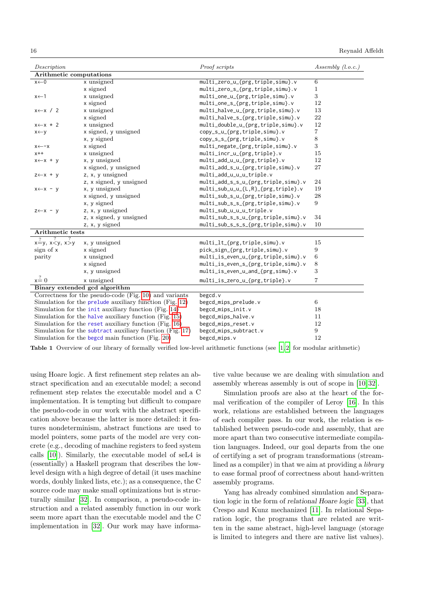| Description                                                                       |                                                             | Proof scripts                       | Assembly $(l.o.c.)$ |
|-----------------------------------------------------------------------------------|-------------------------------------------------------------|-------------------------------------|---------------------|
| Arithmetic computations                                                           |                                                             |                                     |                     |
| $x \leftarrow 0$                                                                  | x unsigned                                                  | multi_zero_u_{prg,triple,simu}.v    | 6                   |
|                                                                                   | x signed                                                    | multi_zero_s_{prg,triple,simu}.v    | $\mathbf{1}$        |
| $x \leftarrow 1$                                                                  | x unsigned                                                  | multi_one_u_{prg,triple,simu}.v     | 3                   |
|                                                                                   | x signed                                                    | multi_one_s_{prg,triple,simu}.v     | 12                  |
| $x \leftarrow x$ / 2                                                              | x unsigned                                                  | multi_halve_u_{prg,triple,simu}.v   | 13                  |
|                                                                                   | x signed                                                    | multi_halve_s_{prg,triple,simu}.v   | 22                  |
| $x \leftarrow x * 2$                                                              | x unsigned                                                  | multi_double_u_{prg,triple,simu}.v  | 12                  |
| $x \leftarrow y$                                                                  | x signed, y unsigned                                        | copy_s_u_{prg,triple,simu}.v        | $\,7$               |
|                                                                                   | x, y signed                                                 | copy_s_s_{prg,triple,simu}.v        | $8\,$               |
| $x \leftarrow -x$                                                                 | x signed                                                    | multi_negate_{prg,triple,simu}.v    | 3                   |
| $x++$                                                                             | x unsigned                                                  | multi_incr_u_{prg,triple}.v         | 15                  |
| $x \leftarrow x + y$                                                              | x, y unsigned                                               | multi_add_u_u_{prg,triple}.v        | 12                  |
|                                                                                   | x signed, y unsigned                                        | multi_add_s_u_{prg,triple,simu}.v   | 27                  |
| $z \leftarrow x + y$                                                              | z, x, y unsigned                                            | multi_add_u_u_u_triple.v            |                     |
|                                                                                   | z, x signed, y unsigned                                     | multi_add_s_s_u_{prg,triple,simu}.v | 24                  |
| $x \leftarrow x - y$                                                              | x, y unsigned                                               | multi_sub_u_u_{L,R}_{prg,triple}.v  | 19                  |
|                                                                                   | x signed, y unsigned                                        | multi_sub_s_u_{prg,triple,simu}.v   | 28                  |
|                                                                                   | x, y signed                                                 | multi_sub_s_s_{prg,triple,simu}.v   | 9                   |
| $Z \leftarrow X - V$                                                              | z, x, y unsigned                                            | multi_sub_u_u_u_triple.v            |                     |
|                                                                                   | z, x signed, y unsigned                                     | multi_sub_s_s_u_{prg,triple,simu}.v | 34                  |
|                                                                                   | z, x, y signed                                              | multi_sub_s_s_s_{prg,triple,simu}.v | 10                  |
| Arithmetic tests                                                                  |                                                             |                                     |                     |
| $x=y, xy$                                                                         | x, y unsigned                                               | multi_lt_{prg,triple,simu}.v        | 15                  |
| sign of x                                                                         | x signed                                                    | pick_sign_{prg,triple,simu}.v       | 9                   |
| parity                                                                            | x unsigned                                                  | multi_is_even_u_{prg,triple,simu}.v | 6                   |
|                                                                                   | x signed                                                    | multi_is_even_s_{prg,triple,simu}.v | 8                   |
|                                                                                   | x, y unsigned                                               | multi_is_even_u_and_{prg,simu}.v    | $\sqrt{3}$          |
| $\mathsf{x}\overset{?}{=}0$                                                       | x unsigned                                                  | multi_is_zero_u_{prg,triple}.v      | $\overline{7}$      |
| Binary extended gcd algorithm                                                     |                                                             |                                     |                     |
| Correctness for the pseudo-code (Fig. 10) and variants<br>begcd.v                 |                                                             |                                     |                     |
| Simulation for the prelude auxiliary function (Fig. 12)                           |                                                             | begcd_mips_prelude.v                | $6\phantom{.}6$     |
|                                                                                   | Simulation for the <i>init</i> auxiliary function (Fig. 14) | begcd_mips_init.v                   | 18                  |
| Simulation for the $halve$ auxiliary function (Fig. 15)                           |                                                             | begcd_mips_halve.v                  | 11                  |
| Simulation for the reset auxiliary function (Fig. 16)                             |                                                             | begcd_mips_reset.v                  | 12                  |
| Simulation for the subtract auxiliary function (Fig. 17)<br>begcd_mips_subtract.v |                                                             |                                     | $\boldsymbol{9}$    |
| Simulation for the begcd main function (Fig. 20)<br>begcd_mips.v                  |                                                             |                                     | 12                  |

<span id="page-15-0"></span>Table 1 Overview of our library of formally verified low-level arithmetic functions (see [\[1,](#page-16-2) [2\]](#page-16-3) for modular arithmetic)

using Hoare logic. A first refinement step relates an abstract specification and an executable model; a second refinement step relates the executable model and a C implementation. It is tempting but difficult to compare the pseudo-code in our work with the abstract specification above because the latter is more detailed: it features nondeterminism, abstract functions are used to model pointers, some parts of the model are very concrete (e.g., decoding of machine registers to feed system calls [\[10\]](#page-16-11)). Similarly, the executable model of seL4 is (essentially) a Haskell program that describes the lowlevel design with a high degree of detail (it uses machine words, doubly linked lists, etc.); as a consequence, the C source code may make small optimizations but is structurally similar [\[32\]](#page-17-13). In comparison, a pseudo-code instruction and a related assembly function in our work seem more apart than the executable model and the C implementation in [\[32\]](#page-17-13). Our work may have informative value because we are dealing with simulation and assembly whereas assembly is out of scope in [\[10,](#page-16-11) [32\]](#page-17-13).

Simulation proofs are also at the heart of the formal verification of the compiler of Leroy [\[16\]](#page-17-11). In this work, relations are established between the languages of each compiler pass. In our work, the relation is established between pseudo-code and assembly, that are more apart than two consecutive intermediate compilation languages. Indeed, our goal departs from the one of certifying a set of program transformations (streamlined as a compiler) in that we aim at providing a library to ease formal proof of correctness about hand-written assembly programs.

Yang has already combined simulation and Separation logic in the form of relational Hoare logic [\[33\]](#page-17-20), that Crespo and Kunz mechanized [\[11\]](#page-16-12). In relational Separation logic, the programs that are related are written in the same abstract, high-level language (storage is limited to integers and there are native list values).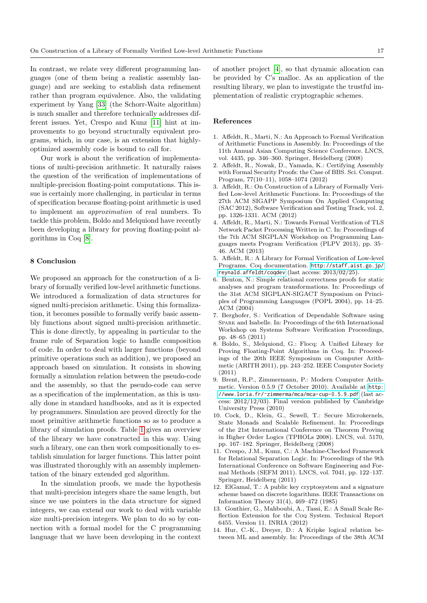In contrast, we relate very different programming languages (one of them being a realistic assembly language) and are seeking to establish data refinement rather than program equivalence. Also, the validating experiment by Yang [\[33\]](#page-17-20) (the Schorr-Waite algorithm) is much smaller and therefore technically addresses different issues. Yet, Crespo and Kunz [\[11\]](#page-16-12) hint at improvements to go beyond structurally equivalent programs, which, in our case, is an extension that highlyoptimized assembly code is bound to call for.

Our work is about the verification of implementations of multi-precision arithmetic. It naturally raises the question of the verification of implementations of multiple-precision floating-point computations. This issue is certainly more challenging, in particular in terms of specification because floating-point arithmetic is used to implement an approximation of real numbers. To tackle this problem, Boldo and Melquiond have recently been developing a library for proving floating-point algorithms in Coq [\[8\]](#page-16-13).

## <span id="page-16-8"></span>8 Conclusion

We proposed an approach for the construction of a library of formally verified low-level arithmetic functions. We introduced a formalization of data structures for signed multi-precision arithmetic. Using this formalization, it becomes possible to formally verify basic assembly functions about signed multi-precision arithmetic. This is done directly, by appealing in particular to the frame rule of Separation logic to handle composition of code. In order to deal with larger functions (beyond primitive operations such as addition), we proposed an approach based on simulation. It consists in showing formally a simulation relation between the pseudo-code and the assembly, so that the pseudo-code can serve as a specification of the implementation, as this is usually done in standard handbooks, and as it is expected by programmers. Simulation are proved directly for the most primitive arithmetic functions so as to produce a library of simulation proofs. Table [1](#page-15-0) gives an overview of the library we have constructed in this way. Using such a library, one can then work compositionally to establish simulation for larger functions. This latter point was illustrated thoroughly with an assembly implementation of the binary extended gcd algorithm.

In the simulation proofs, we made the hypothesis that multi-precision integers share the same length, but since we use pointers in the data structure for signed integers, we can extend our work to deal with variable size multi-precision integers. We plan to do so by connection with a formal model for the C programming language that we have been developing in the context

of another project [\[4\]](#page-16-14), so that dynamic allocation can be provided by C's malloc. As an application of the resulting library, we plan to investigate the trustful implementation of realistic cryptographic schemes.

## References

- <span id="page-16-2"></span>1. Affeldt, R., Marti, N.: An Approach to Formal Verification of Arithmetic Functions in Assembly. In: Proceedings of the 11th Annual Asian Computing Science Conference. LNCS, vol. 4435, pp. 346–360. Springer, Heidelberg (2008)
- <span id="page-16-3"></span>2. Affeldt, R., Nowak, D., Yamada, K.: Certifying Assembly with Formal Security Proofs: the Case of BBS. Sci. Comput. Program, 77(10–11), 1058–1074 (2012)
- <span id="page-16-0"></span>3. Affeldt, R.: On Construction of a Library of Formally Verified Low-level Arithmetic Functions. In: Proceedings of the 27th ACM SIGAPP Symposium On Applied Computing (SAC 2012), Software Verification and Testing Track, vol. 2, pp. 1326-1331. ACM (2012)
- <span id="page-16-14"></span>4. Affeldt, R., Marti, N.: Towards Formal Verification of TLS Network Packet Processing Written in C. In: Proceedings of the 7th ACM SIGPLAN Workshop on Programming Languages meets Program Verification (PLPV 2013), pp. 35– 46. ACM (2013)
- <span id="page-16-7"></span>5. Affeldt, R.: A Library for Formal Verification of Low-level Programs. Coq documentation. [http://staff.aist.go.jp/](http://staff.aist.go.jp/reynald.affeldt/coqdev) [reynald.affeldt/coqdev](http://staff.aist.go.jp/reynald.affeldt/coqdev) (last access: 2013/02/25).
- <span id="page-16-9"></span>6. Benton, N.: Simple relational correctness proofs for static analyses and program transformations. In: Proceedings of the 31st ACM SIGPLAN-SIGACT Symposium on Principles of Programming Languages (POPL 2004), pp. 14–25. ACM (2004)
- <span id="page-16-4"></span>7. Berghofer, S.: Verification of Dependable Software using Spark and Isabelle. In: Proceedings of the 6th International Workshop on Systems Software Verification Proceedings, pp. 48–65 (2011)
- <span id="page-16-13"></span>8. Boldo, S., Melquiond, G.: Flocq: A Unified Library for Proving Floating-Point Algorithms in Coq. In: Proceedings of the 20th IEEE Symposium on Computer Arithmetic (ARITH 2011), pp. 243–252. IEEE Computer Society (2011)
- <span id="page-16-1"></span>9. Brent, R.P., Zimmermann, P.: Modern Computer Arithmetic. Version 0.5.9 (7 October 2010). Available at [http:](http://www.loria.fr/~zimmerma/mca/mca-cup-0.5.9.pdf) [//www.loria.fr/˜zimmerma/mca/mca-cup-0.5.9.pdf](http://www.loria.fr/~zimmerma/mca/mca-cup-0.5.9.pdf) (last access: 2012/12/03). Final version published by Cambridge University Press (2010)
- <span id="page-16-11"></span>10. Cock, D., Klein, G., Sewell, T.: Secure Microkernels, State Monads and Scalable Refinement. In: Proceedings of the 21st International Conference on Theorem Proving in Higher Order Logics (TPHOLs 2008). LNCS, vol. 5170, pp. 167–182. Springer, Heidelberg (2008)
- <span id="page-16-12"></span>11. Crespo, J.M., Kunz, C.: A Machine-Checked Framework for Relational Separation Logic. In: Proceedings of the 9th International Conference on Software Engineering and Formal Methods (SEFM 2011). LNCS, vol. 7041, pp. 122–137. Springer, Heidelberg (2011)
- <span id="page-16-5"></span>12. ElGamal, T.: A public key cryptosystem and a signature scheme based on discrete logarithms. IEEE Transactions on Information Theory 31(4), 469–472 (1985)
- <span id="page-16-10"></span>13. Gonthier, G., Mahboubi, A., Tassi, E.: A Small Scale Reflection Extension for the Coq System. Technical Report 6455. Version 11. INRIA (2012)
- <span id="page-16-6"></span>14. Hur, C.-K., Dreyer, D.: A Kripke logical relation between ML and assembly. In: Proceedings of the 38th ACM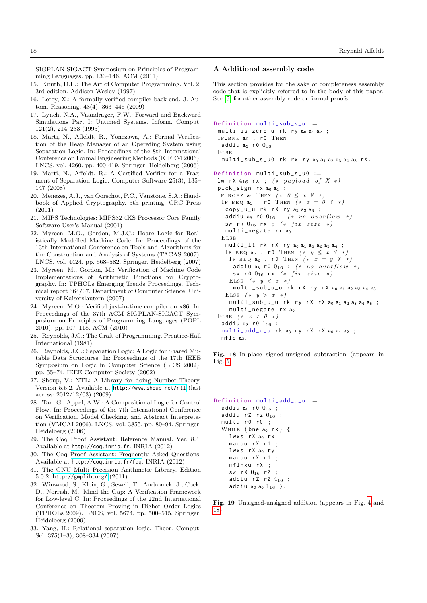SIGPLAN-SIGACT Symposium on Principles of Programming Languages. pp. 133–146. ACM (2011)

- <span id="page-17-14"></span>15. Knuth, D.E.: The Art of Computer Programming. Vol. 2, 3rd edition. Addison-Wesley (1997)
- <span id="page-17-11"></span>16. Leroy, X.: A formally verified compiler back-end. J. Autom. Reasoning. 43(4), 363–446 (2009)
- <span id="page-17-12"></span>17. Lynch, N.A., Vaandrager, F.W.: Forward and Backward Simulations Part I: Untimed Systems. Inform. Comput. 121(2), 214–233 (1995)
- <span id="page-17-8"></span>18. Marti, N., Affeldt, R., Yonezawa, A.: Formal Verification of the Heap Manager of an Operating System using Separation Logic. In: Proceedings of the 8th International Conference on Formal Engineering Methods (ICFEM 2006). LNCS, vol. 4260, pp. 400-419. Springer, Heidelberg (2006).
- <span id="page-17-15"></span>19. Marti, N., Affeldt, R.: A Certified Verifier for a Fragment of Separation Logic. Computer Software 25(3), 135– 147 (2008)
- <span id="page-17-6"></span>20. Menezes, A.J., van Oorschot, P.C., Vanstone, S.A.: Handbook of Applied Cryptography. 5th printing. CRC Press (2001)
- <span id="page-17-3"></span>21. MIPS Technologies: MIPS32 4KS Processor Core Family Software User's Manual (2001)
- <span id="page-17-18"></span>22. Myreen, M.O., Gordon, M.J.C.: Hoare Logic for Realistically Modelled Machine Code. In: Proceedings of the 13th International Conference on Tools and Algorithms for the Construction and Analysis of Systems (TACAS 2007). LNCS, vol. 4424, pp. 568–582. Springer, Heidelberg (2007)
- <span id="page-17-1"></span>23. Myreen, M., Gordon, M.: Verification of Machine Code Implementations of Arithmetic Functions for Cryptography. In: TPHOLs Emerging Trends Proceedings. Technical report 364/07. Department of Computer Science, University of Kaiserslautern (2007)
- <span id="page-17-19"></span>24. Myreen, M.O.: Verified just-in-time compiler on x86. In: Proceedings of the 37th ACM SIGPLAN-SIGACT Symposium on Principles of Programming Languages (POPL 2010), pp. 107–118. ACM (2010)
- <span id="page-17-7"></span>25. Reynolds, J.C.: The Craft of Programming. Prentice-Hall International (1981).
- <span id="page-17-4"></span>26. Reynolds, J.C.: Separation Logic: A Logic for Shared Mutable Data Structures. In: Proceedings of the 17th IEEE Symposium on Logic in Computer Science (LICS 2002), pp. 55–74. IEEE Computer Society (2002)
- <span id="page-17-5"></span>27. Shoup, V.: NTL: A Library for doing Number Theory. Version 5.5.2. Available at <http://www.shoup.net/ntl> (last access: 2012/12/03) (2009)
- <span id="page-17-17"></span>28. Tan, G., Appel, A.W.: A Compositional Logic for Control Flow. In: Proceedings of the 7th International Conference on Verification, Model Checking, and Abstract Interpretation (VMCAI 2006). LNCS, vol. 3855, pp. 80–94. Springer, Heidelberg (2006)
- <span id="page-17-2"></span>29. The Coq Proof Assistant: Reference Manual. Ver. 8.4. Available at <http://coq.inria.fr>. INRIA (2012)
- <span id="page-17-16"></span>30. The Coq Proof Assistant: Frequently Asked Questions. Available at <http://coq.inria.fr/faq>. INRIA (2012)
- <span id="page-17-0"></span>31. The GNU Multi Precision Arithmetic Library. Edition 5.0.2. <http://gmplib.org/> (2011)
- <span id="page-17-13"></span>32. Winwood, S., Klein, G., Sewell, T., Andronick, J., Cock, D., Norrish, M.: Mind the Gap: A Verification Framework for Low-level C. In: Proceedings of the 22nd International Conference on Theorem Proving in Higher Order Logics (TPHOLs 2009). LNCS, vol. 5674, pp. 500–515. Springer, Heidelberg (2009)
- <span id="page-17-20"></span>33. Yang, H.: Relational separation logic. Theor. Comput. Sci. 375(1–3), 308–334 (2007)

### A Additional assembly code

This section provides for the sake of completeness assembly code that is explicitly referred to in the body of this paper. See [\[5\]](#page-16-7) for other assembly code or formal proofs.

```
Definition multi\_sub_s_u :=multi_is\_zero\_u rk ry a_0 a_1 a_2;
 IFBNE a_2 , r0 THEN
  addiu a_3 r0 0_{16}Else
  multi\_sub\_s\_u0 rk rx ry a_0 a_1 a_2 a_3 a_4 a_5 rX.
```

```
Definition multi<sub>sub</sub>su0 :=
 lw rX 4_{16} rx ; (* payload of X *)
 pick\_sign rx a_0 a_1 ;
 IF BGEZ a<sub>1</sub> THEN (* 0 \leq x ? *)
  IF-BEQ a_1, r0 THEN (* x = 0 ? *)copy_u_u rk rX ry a_2 a_3 a_4 ;
   addiu a3 r0 0_{16} ; (* no overflow *)
   sw rk 0_{16} rx ; (* fix size *)
   multi_negate rx ao
  Else
   multi_lt rk rX ry a_0 a_1 a_5 a_2 a_3 a_4;
   IF-BEQ a5, r0 THEN (* y \leq x ? *)
     IF_BEQ a_2, r0 THEN (* x = y ? *)addiu a3 r0 0_{16} ; (* no overflow *)
      sw r0 0_{16} rx (* fix size *)
     ELSE (* y < x * )multi\_sub\_u\_u rk rX ry rX a_0 a_1 a_2 a_3 a_4 a_5ELSE (* y > x * )multi\_sub\_u rk ry rX rX a<sub>0</sub> a<sub>1</sub> a<sub>2</sub> a<sub>3</sub> a<sub>4</sub> a<sub>5</sub> ;
     multi_negate rx ao
 ELSE (* x < 0 *)addiu a_3 r0 1_{16} ;
  multi\_add\_u\_u rk a_3 ry rX rX a_0 a_1 a_2;
  m flo a_3.
```
<span id="page-17-10"></span>Fig. 18 In-place signed-unsigned subtraction (appears in Fig. [5\)](#page-5-8)

```
Definition multi\_add\_u\_u :=addiu a_0 r0 0_{16} ;
  addiu rZ rz 0_{16} ;
  multu r0 r0 ;
  WHILE (bne a_0 rk) {
     lwxs rX a_0 rx ;
     maddu rX r1 ;
     lwxs rX a_0 ry ;
     maddu rX r1 ;
     mflh x u rX :sw rX 0_{16} rZ ;
     addiu rZ rZ 4_{16} ;
     addiu a<sub>0</sub> a<sub>0</sub> 1_{16} }.
```
<span id="page-17-9"></span>Fig. 19 Unsigned-unsigned addition (appears in Fig. [4](#page-5-1) and [18\)](#page-17-10)